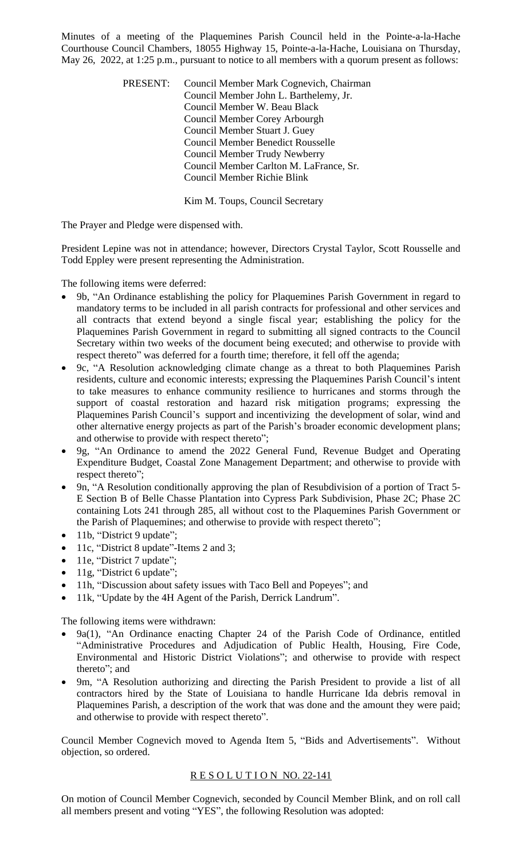Minutes of a meeting of the Plaquemines Parish Council held in the Pointe-a-la-Hache Courthouse Council Chambers, 18055 Highway 15, Pointe-a-la-Hache, Louisiana on Thursday, May 26, 2022, at 1:25 p.m., pursuant to notice to all members with a quorum present as follows:

> PRESENT: Council Member Mark Cognevich, Chairman Council Member John L. Barthelemy, Jr. Council Member W. Beau Black Council Member Corey Arbourgh Council Member Stuart J. Guey Council Member Benedict Rousselle Council Member Trudy Newberry Council Member Carlton M. LaFrance, Sr. Council Member Richie Blink

> > Kim M. Toups, Council Secretary

The Prayer and Pledge were dispensed with.

President Lepine was not in attendance; however, Directors Crystal Taylor, Scott Rousselle and Todd Eppley were present representing the Administration.

The following items were deferred:

- 9b, "An Ordinance establishing the policy for Plaquemines Parish Government in regard to mandatory terms to be included in all parish contracts for professional and other services and all contracts that extend beyond a single fiscal year; establishing the policy for the Plaquemines Parish Government in regard to submitting all signed contracts to the Council Secretary within two weeks of the document being executed; and otherwise to provide with respect thereto" was deferred for a fourth time; therefore, it fell off the agenda;
- 9c, "A Resolution acknowledging climate change as a threat to both Plaquemines Parish residents, culture and economic interests; expressing the Plaquemines Parish Council's intent to take measures to enhance community resilience to hurricanes and storms through the support of coastal restoration and hazard risk mitigation programs; expressing the Plaquemines Parish Council's support and incentivizing the development of solar, wind and other alternative energy projects as part of the Parish's broader economic development plans; and otherwise to provide with respect thereto";
- 9g, "An Ordinance to amend the 2022 General Fund, Revenue Budget and Operating Expenditure Budget, Coastal Zone Management Department; and otherwise to provide with respect thereto";
- 9n, "A Resolution conditionally approving the plan of Resubdivision of a portion of Tract 5- E Section B of Belle Chasse Plantation into Cypress Park Subdivision, Phase 2C; Phase 2C containing Lots 241 through 285, all without cost to the Plaquemines Parish Government or the Parish of Plaquemines; and otherwise to provide with respect thereto";
- 11b, "District 9 update";
- 11c, "District 8 update"-Items 2 and 3;
- 11e, "District 7 update";
- $\bullet$  11g, "District 6 update";
- 11h, "Discussion about safety issues with Taco Bell and Popeyes"; and
- 11k, "Update by the 4H Agent of the Parish, Derrick Landrum".

The following items were withdrawn:

- 9a(1), "An Ordinance enacting Chapter 24 of the Parish Code of Ordinance, entitled "Administrative Procedures and Adjudication of Public Health, Housing, Fire Code, Environmental and Historic District Violations"; and otherwise to provide with respect thereto"; and
- 9m, "A Resolution authorizing and directing the Parish President to provide a list of all contractors hired by the State of Louisiana to handle Hurricane Ida debris removal in Plaquemines Parish, a description of the work that was done and the amount they were paid; and otherwise to provide with respect thereto".

Council Member Cognevich moved to Agenda Item 5, "Bids and Advertisements". Without objection, so ordered.

# RESOLUTION NO. 22-141

On motion of Council Member Cognevich, seconded by Council Member Blink, and on roll call all members present and voting "YES", the following Resolution was adopted: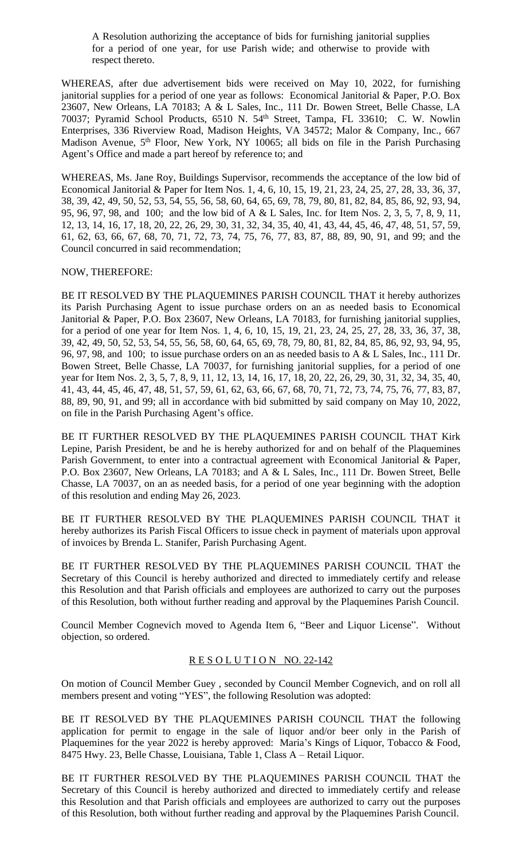A Resolution authorizing the acceptance of bids for furnishing janitorial supplies for a period of one year, for use Parish wide; and otherwise to provide with respect thereto.

WHEREAS, after due advertisement bids were received on May 10, 2022, for furnishing janitorial supplies for a period of one year as follows: Economical Janitorial & Paper, P.O. Box 23607, New Orleans, LA 70183; A & L Sales, Inc., 111 Dr. Bowen Street, Belle Chasse, LA 70037; Pyramid School Products, 6510 N. 54<sup>th</sup> Street, Tampa, FL 33610; C. W. Nowlin Enterprises, 336 Riverview Road, Madison Heights, VA 34572; Malor & Company, Inc., 667 Madison Avenue, 5<sup>th</sup> Floor, New York, NY 10065; all bids on file in the Parish Purchasing Agent's Office and made a part hereof by reference to; and

WHEREAS, Ms. Jane Roy, Buildings Supervisor, recommends the acceptance of the low bid of Economical Janitorial & Paper for Item Nos. 1, 4, 6, 10, 15, 19, 21, 23, 24, 25, 27, 28, 33, 36, 37, 38, 39, 42, 49, 50, 52, 53, 54, 55, 56, 58, 60, 64, 65, 69, 78, 79, 80, 81, 82, 84, 85, 86, 92, 93, 94, 95, 96, 97, 98, and 100; and the low bid of A & L Sales, Inc. for Item Nos. 2, 3, 5, 7, 8, 9, 11, 12, 13, 14, 16, 17, 18, 20, 22, 26, 29, 30, 31, 32, 34, 35, 40, 41, 43, 44, 45, 46, 47, 48, 51, 57, 59, 61, 62, 63, 66, 67, 68, 70, 71, 72, 73, 74, 75, 76, 77, 83, 87, 88, 89, 90, 91, and 99; and the Council concurred in said recommendation;

# NOW, THEREFORE:

BE IT RESOLVED BY THE PLAQUEMINES PARISH COUNCIL THAT it hereby authorizes its Parish Purchasing Agent to issue purchase orders on an as needed basis to Economical Janitorial & Paper, P.O. Box 23607, New Orleans, LA 70183, for furnishing janitorial supplies, for a period of one year for Item Nos. 1, 4, 6, 10, 15, 19, 21, 23, 24, 25, 27, 28, 33, 36, 37, 38, 39, 42, 49, 50, 52, 53, 54, 55, 56, 58, 60, 64, 65, 69, 78, 79, 80, 81, 82, 84, 85, 86, 92, 93, 94, 95, 96, 97, 98, and 100; to issue purchase orders on an as needed basis to A & L Sales, Inc., 111 Dr. Bowen Street, Belle Chasse, LA 70037, for furnishing janitorial supplies, for a period of one year for Item Nos. 2, 3, 5, 7, 8, 9, 11, 12, 13, 14, 16, 17, 18, 20, 22, 26, 29, 30, 31, 32, 34, 35, 40, 41, 43, 44, 45, 46, 47, 48, 51, 57, 59, 61, 62, 63, 66, 67, 68, 70, 71, 72, 73, 74, 75, 76, 77, 83, 87, 88, 89, 90, 91, and 99; all in accordance with bid submitted by said company on May 10, 2022, on file in the Parish Purchasing Agent's office.

BE IT FURTHER RESOLVED BY THE PLAQUEMINES PARISH COUNCIL THAT Kirk Lepine, Parish President, be and he is hereby authorized for and on behalf of the Plaquemines Parish Government, to enter into a contractual agreement with Economical Janitorial & Paper, P.O. Box 23607, New Orleans, LA 70183; and A & L Sales, Inc., 111 Dr. Bowen Street, Belle Chasse, LA 70037, on an as needed basis, for a period of one year beginning with the adoption of this resolution and ending May 26, 2023.

BE IT FURTHER RESOLVED BY THE PLAQUEMINES PARISH COUNCIL THAT it hereby authorizes its Parish Fiscal Officers to issue check in payment of materials upon approval of invoices by Brenda L. Stanifer, Parish Purchasing Agent.

BE IT FURTHER RESOLVED BY THE PLAQUEMINES PARISH COUNCIL THAT the Secretary of this Council is hereby authorized and directed to immediately certify and release this Resolution and that Parish officials and employees are authorized to carry out the purposes of this Resolution, both without further reading and approval by the Plaquemines Parish Council.

Council Member Cognevich moved to Agenda Item 6, "Beer and Liquor License". Without objection, so ordered.

# RESOLUTION NO. 22-142

On motion of Council Member Guey , seconded by Council Member Cognevich, and on roll all members present and voting "YES", the following Resolution was adopted:

BE IT RESOLVED BY THE PLAQUEMINES PARISH COUNCIL THAT the following application for permit to engage in the sale of liquor and/or beer only in the Parish of Plaquemines for the year 2022 is hereby approved: Maria's Kings of Liquor, Tobacco & Food, 8475 Hwy. 23, Belle Chasse, Louisiana, Table 1, Class A – Retail Liquor.

BE IT FURTHER RESOLVED BY THE PLAQUEMINES PARISH COUNCIL THAT the Secretary of this Council is hereby authorized and directed to immediately certify and release this Resolution and that Parish officials and employees are authorized to carry out the purposes of this Resolution, both without further reading and approval by the Plaquemines Parish Council.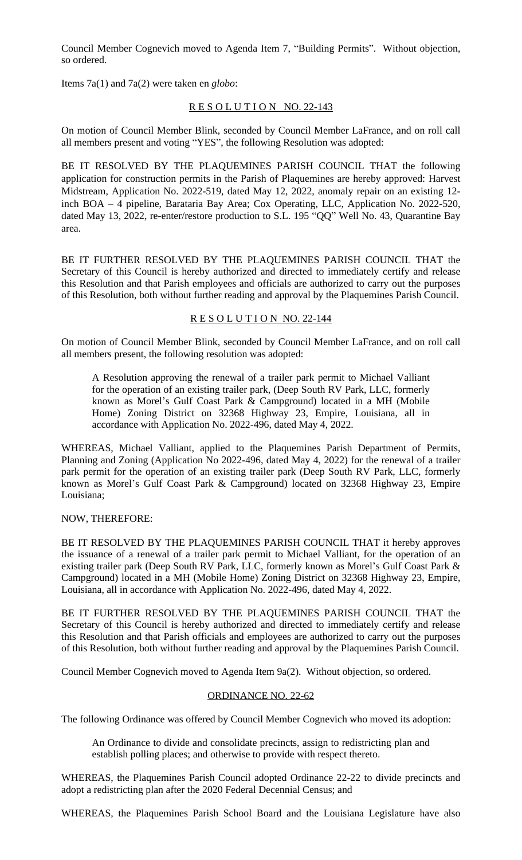Council Member Cognevich moved to Agenda Item 7, "Building Permits". Without objection, so ordered.

Items 7a(1) and 7a(2) were taken en *globo*:

# RESOLUTION NO. 22-143

On motion of Council Member Blink, seconded by Council Member LaFrance, and on roll call all members present and voting "YES", the following Resolution was adopted:

BE IT RESOLVED BY THE PLAQUEMINES PARISH COUNCIL THAT the following application for construction permits in the Parish of Plaquemines are hereby approved: Harvest Midstream, Application No. 2022-519, dated May 12, 2022, anomaly repair on an existing 12 inch BOA – 4 pipeline, Barataria Bay Area; Cox Operating, LLC, Application No. 2022-520, dated May 13, 2022, re-enter/restore production to S.L. 195 "QQ" Well No. 43, Quarantine Bay area.

BE IT FURTHER RESOLVED BY THE PLAQUEMINES PARISH COUNCIL THAT the Secretary of this Council is hereby authorized and directed to immediately certify and release this Resolution and that Parish employees and officials are authorized to carry out the purposes of this Resolution, both without further reading and approval by the Plaquemines Parish Council.

# RESOLUTION NO. 22-144

On motion of Council Member Blink, seconded by Council Member LaFrance, and on roll call all members present, the following resolution was adopted:

A Resolution approving the renewal of a trailer park permit to Michael Valliant for the operation of an existing trailer park, (Deep South RV Park, LLC, formerly known as Morel's Gulf Coast Park & Campground) located in a MH (Mobile Home) Zoning District on 32368 Highway 23, Empire, Louisiana, all in accordance with Application No. 2022-496, dated May 4, 2022.

WHEREAS, Michael Valliant, applied to the Plaquemines Parish Department of Permits, Planning and Zoning (Application No 2022-496, dated May 4, 2022) for the renewal of a trailer park permit for the operation of an existing trailer park (Deep South RV Park, LLC, formerly known as Morel's Gulf Coast Park & Campground) located on 32368 Highway 23, Empire Louisiana;

# NOW, THEREFORE:

BE IT RESOLVED BY THE PLAQUEMINES PARISH COUNCIL THAT it hereby approves the issuance of a renewal of a trailer park permit to Michael Valliant, for the operation of an existing trailer park (Deep South RV Park, LLC, formerly known as Morel's Gulf Coast Park & Campground) located in a MH (Mobile Home) Zoning District on 32368 Highway 23, Empire, Louisiana, all in accordance with Application No. 2022-496, dated May 4, 2022.

BE IT FURTHER RESOLVED BY THE PLAQUEMINES PARISH COUNCIL THAT the Secretary of this Council is hereby authorized and directed to immediately certify and release this Resolution and that Parish officials and employees are authorized to carry out the purposes of this Resolution, both without further reading and approval by the Plaquemines Parish Council.

Council Member Cognevich moved to Agenda Item 9a(2). Without objection, so ordered.

# ORDINANCE NO. 22-62

The following Ordinance was offered by Council Member Cognevich who moved its adoption:

An Ordinance to divide and consolidate precincts, assign to redistricting plan and establish polling places; and otherwise to provide with respect thereto.

WHEREAS, the Plaquemines Parish Council adopted Ordinance 22-22 to divide precincts and adopt a redistricting plan after the 2020 Federal Decennial Census; and

WHEREAS, the Plaquemines Parish School Board and the Louisiana Legislature have also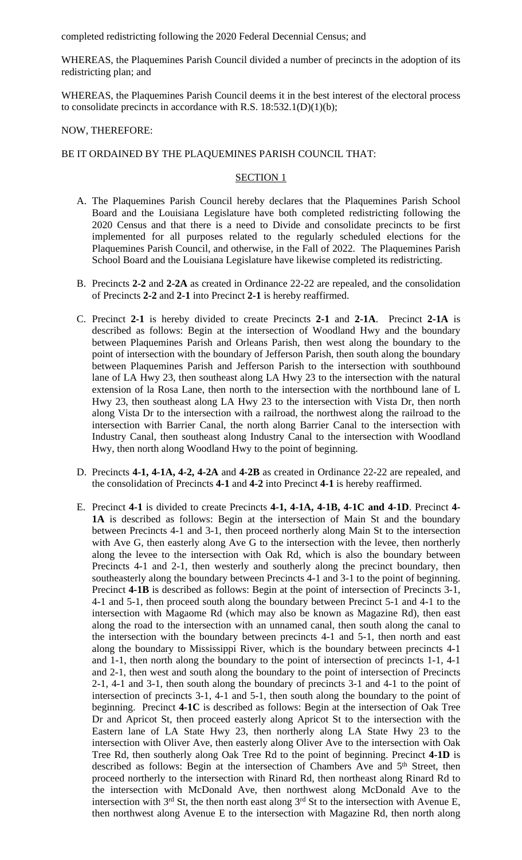completed redistricting following the 2020 Federal Decennial Census; and

WHEREAS, the Plaquemines Parish Council divided a number of precincts in the adoption of its redistricting plan; and

WHEREAS, the Plaquemines Parish Council deems it in the best interest of the electoral process to consolidate precincts in accordance with R.S.  $18:532.1(D)(1)(b)$ ;

### NOW, THEREFORE:

# BE IT ORDAINED BY THE PLAQUEMINES PARISH COUNCIL THAT:

## SECTION 1

- A. The Plaquemines Parish Council hereby declares that the Plaquemines Parish School Board and the Louisiana Legislature have both completed redistricting following the 2020 Census and that there is a need to Divide and consolidate precincts to be first implemented for all purposes related to the regularly scheduled elections for the Plaquemines Parish Council, and otherwise, in the Fall of 2022. The Plaquemines Parish School Board and the Louisiana Legislature have likewise completed its redistricting.
- B. Precincts **2-2** and **2-2A** as created in Ordinance 22-22 are repealed, and the consolidation of Precincts **2-2** and **2-1** into Precinct **2-1** is hereby reaffirmed.
- C. Precinct **2-1** is hereby divided to create Precincts **2-1** and **2-1A**. Precinct **2-1A** is described as follows: Begin at the intersection of Woodland Hwy and the boundary between Plaquemines Parish and Orleans Parish, then west along the boundary to the point of intersection with the boundary of Jefferson Parish, then south along the boundary between Plaquemines Parish and Jefferson Parish to the intersection with southbound lane of LA Hwy 23, then southeast along LA Hwy 23 to the intersection with the natural extension of la Rosa Lane, then north to the intersection with the northbound lane of L Hwy 23, then southeast along LA Hwy 23 to the intersection with Vista Dr, then north along Vista Dr to the intersection with a railroad, the northwest along the railroad to the intersection with Barrier Canal, the north along Barrier Canal to the intersection with Industry Canal, then southeast along Industry Canal to the intersection with Woodland Hwy, then north along Woodland Hwy to the point of beginning.
- D. Precincts **4-1, 4-1A, 4-2, 4-2A** and **4-2B** as created in Ordinance 22-22 are repealed, and the consolidation of Precincts **4-1** and **4-2** into Precinct **4-1** is hereby reaffirmed.
- E. Precinct **4-1** is divided to create Precincts **4-1, 4-1A, 4-1B, 4-1C and 4-1D**. Precinct **4- 1A** is described as follows: Begin at the intersection of Main St and the boundary between Precincts 4-1 and 3-1, then proceed northerly along Main St to the intersection with Ave G, then easterly along Ave G to the intersection with the levee, then northerly along the levee to the intersection with Oak Rd, which is also the boundary between Precincts 4-1 and 2-1, then westerly and southerly along the precinct boundary, then southeasterly along the boundary between Precincts 4-1 and 3-1 to the point of beginning. Precinct **4-1B** is described as follows: Begin at the point of intersection of Precincts 3-1, 4-1 and 5-1, then proceed south along the boundary between Precinct 5-1 and 4-1 to the intersection with Magaome Rd (which may also be known as Magazine Rd), then east along the road to the intersection with an unnamed canal, then south along the canal to the intersection with the boundary between precincts 4-1 and 5-1, then north and east along the boundary to Mississippi River, which is the boundary between precincts 4-1 and 1-1, then north along the boundary to the point of intersection of precincts 1-1, 4-1 and 2-1, then west and south along the boundary to the point of intersection of Precincts 2-1, 4-1 and 3-1, then south along the boundary of precincts 3-1 and 4-1 to the point of intersection of precincts 3-1, 4-1 and 5-1, then south along the boundary to the point of beginning. Precinct **4-1C** is described as follows: Begin at the intersection of Oak Tree Dr and Apricot St, then proceed easterly along Apricot St to the intersection with the Eastern lane of LA State Hwy 23, then northerly along LA State Hwy 23 to the intersection with Oliver Ave, then easterly along Oliver Ave to the intersection with Oak Tree Rd, then southerly along Oak Tree Rd to the point of beginning. Precinct **4-1D** is described as follows: Begin at the intersection of Chambers Ave and 5<sup>th</sup> Street, then proceed northerly to the intersection with Rinard Rd, then northeast along Rinard Rd to the intersection with McDonald Ave, then northwest along McDonald Ave to the intersection with  $3^{rd}$  St, the then north east along  $3^{rd}$  St to the intersection with Avenue E, then northwest along Avenue E to the intersection with Magazine Rd, then north along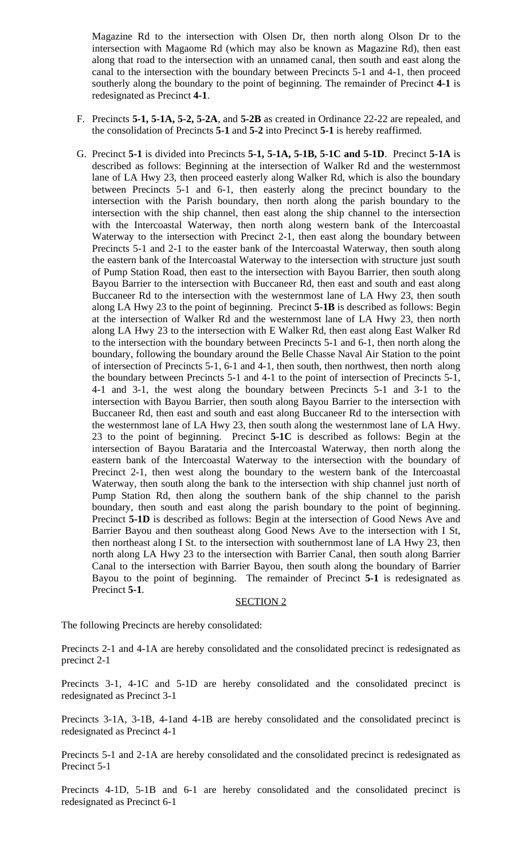Magazine Rd to the intersection with Olsen Dr, then north along Olson Dr to the intersection with Magaome Rd (which may also be known as Magazine Rd), then east along that road to the intersection with an unnamed canal, then south and east along the canal to the intersection with the boundary between Precincts 5-1 and 4-1, then proceed southerly along the boundary to the point of beginning. The remainder of Precinct **4-1** is redesignated as Precinct **4-1**.

- F. Precincts **5-1, 5-1A, 5-2, 5-2A**, and **5-2B** as created in Ordinance 22-22 are repealed, and the consolidation of Precincts **5-1** and **5-2** into Precinct **5-1** is hereby reaffirmed.
- G. Precinct **5-1** is divided into Precincts **5-1, 5-1A, 5-1B, 5-1C and 5-1D**. Precinct **5-1A** is described as follows: Beginning at the intersection of Walker Rd and the westernmost lane of LA Hwy 23, then proceed easterly along Walker Rd, which is also the boundary between Precincts 5-1 and 6-1, then easterly along the precinct boundary to the intersection with the Parish boundary, then north along the parish boundary to the intersection with the ship channel, then east along the ship channel to the intersection with the Intercoastal Waterway, then north along western bank of the Intercoastal Waterway to the intersection with Precinct 2-1, then east along the boundary between Precincts 5-1 and 2-1 to the easter bank of the Intercoastal Waterway, then south along the eastern bank of the Intercoastal Waterway to the intersection with structure just south of Pump Station Road, then east to the intersection with Bayou Barrier, then south along Bayou Barrier to the intersection with Buccaneer Rd, then east and south and east along Buccaneer Rd to the intersection with the westernmost lane of LA Hwy 23, then south along LA Hwy 23 to the point of beginning. Precinct **5-1B** is described as follows: Begin at the intersection of Walker Rd and the westernmost lane of LA Hwy 23, then north along LA Hwy 23 to the intersection with E Walker Rd, then east along East Walker Rd to the intersection with the boundary between Precincts 5-1 and 6-1, then north along the boundary, following the boundary around the Belle Chasse Naval Air Station to the point of intersection of Precincts 5-1, 6-1 and 4-1, then south, then northwest, then north along the boundary between Precincts 5-1 and 4-1 to the point of intersection of Precincts 5-1, 4-1 and 3-1, the west along the boundary between Precincts 5-1 and 3-1 to the intersection with Bayou Barrier, then south along Bayou Barrier to the intersection with Buccaneer Rd, then east and south and east along Buccaneer Rd to the intersection with the westernmost lane of LA Hwy 23, then south along the westernmost lane of LA Hwy. 23 to the point of beginning. Precinct **5-1C** is described as follows: Begin at the intersection of Bayou Barataria and the Intercoastal Waterway, then north along the eastern bank of the Intercoastal Waterway to the intersection with the boundary of Precinct 2-1, then west along the boundary to the western bank of the Intercoastal Waterway, then south along the bank to the intersection with ship channel just north of Pump Station Rd, then along the southern bank of the ship channel to the parish boundary, then south and east along the parish boundary to the point of beginning. Precinct **5-1D** is described as follows: Begin at the intersection of Good News Ave and Barrier Bayou and then southeast along Good News Ave to the intersection with I St, then northeast along I St. to the intersection with southernmost lane of LA Hwy 23, then north along LA Hwy 23 to the intersection with Barrier Canal, then south along Barrier Canal to the intersection with Barrier Bayou, then south along the boundary of Barrier Bayou to the point of beginning. The remainder of Precinct **5-1** is redesignated as Precinct **5-1**.

#### SECTION 2

The following Precincts are hereby consolidated:

Precincts 2-1 and 4-1A are hereby consolidated and the consolidated precinct is redesignated as precinct 2-1

Precincts 3-1, 4-1C and 5-1D are hereby consolidated and the consolidated precinct is redesignated as Precinct 3-1

Precincts 3-1A, 3-1B, 4-1and 4-1B are hereby consolidated and the consolidated precinct is redesignated as Precinct 4-1

Precincts 5-1 and 2-1A are hereby consolidated and the consolidated precinct is redesignated as Precinct 5-1

Precincts 4-1D, 5-1B and 6-1 are hereby consolidated and the consolidated precinct is redesignated as Precinct 6-1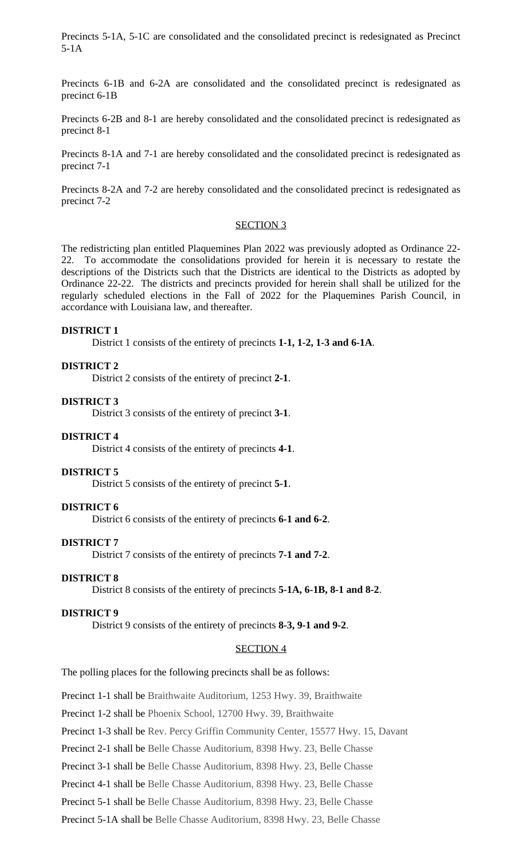Precincts 5-1A, 5-1C are consolidated and the consolidated precinct is redesignated as Precinct 5-1A

Precincts 6-1B and 6-2A are consolidated and the consolidated precinct is redesignated as precinct 6-1B

Precincts 6-2B and 8-1 are hereby consolidated and the consolidated precinct is redesignated as precinct 8-1

Precincts 8-1A and 7-1 are hereby consolidated and the consolidated precinct is redesignated as precinct 7-1

Precincts 8-2A and 7-2 are hereby consolidated and the consolidated precinct is redesignated as precinct 7-2

#### SECTION<sub>3</sub>

The redistricting plan entitled Plaquemines Plan 2022 was previously adopted as Ordinance 22- 22. To accommodate the consolidations provided for herein it is necessary to restate the descriptions of the Districts such that the Districts are identical to the Districts as adopted by Ordinance 22-22. The districts and precincts provided for herein shall shall be utilized for the regularly scheduled elections in the Fall of 2022 for the Plaquemines Parish Council, in accordance with Louisiana law, and thereafter.

#### **DISTRICT 1**

District 1 consists of the entirety of precincts **1-1, 1-2, 1-3 and 6-1A**.

#### **DISTRICT 2**

District 2 consists of the entirety of precinct **2-1**.

#### **DISTRICT 3**

District 3 consists of the entirety of precinct **3-1**.

#### **DISTRICT 4**

District 4 consists of the entirety of precincts **4-1**.

#### **DISTRICT 5**

District 5 consists of the entirety of precinct **5-1**.

#### **DISTRICT 6**

District 6 consists of the entirety of precincts **6-1 and 6-2**.

#### **DISTRICT 7**

District 7 consists of the entirety of precincts **7-1 and 7-2**.

#### **DISTRICT 8**

District 8 consists of the entirety of precincts **5-1A, 6-1B, 8-1 and 8-2**.

#### **DISTRICT 9**

District 9 consists of the entirety of precincts **8-3, 9-1 and 9-2**.

# SECTION 4

The polling places for the following precincts shall be as follows:

Precinct 1-1 shall be Braithwaite Auditorium, 1253 Hwy. 39, Braithwaite

Precinct 1-2 shall be Phoenix School, 12700 Hwy. 39, Braithwaite

Precinct 1-3 shall be Rev. Percy Griffin Community Center, 15577 Hwy. 15, Davant

Precinct 2-1 shall be Belle Chasse Auditorium, 8398 Hwy. 23, Belle Chasse

Precinct 3-1 shall be Belle Chasse Auditorium, 8398 Hwy. 23, Belle Chasse

Precinct 4-1 shall be Belle Chasse Auditorium, 8398 Hwy. 23, Belle Chasse

Precinct 5-1 shall be Belle Chasse Auditorium, 8398 Hwy. 23, Belle Chasse

Precinct 5-1A shall be Belle Chasse Auditorium, 8398 Hwy. 23, Belle Chasse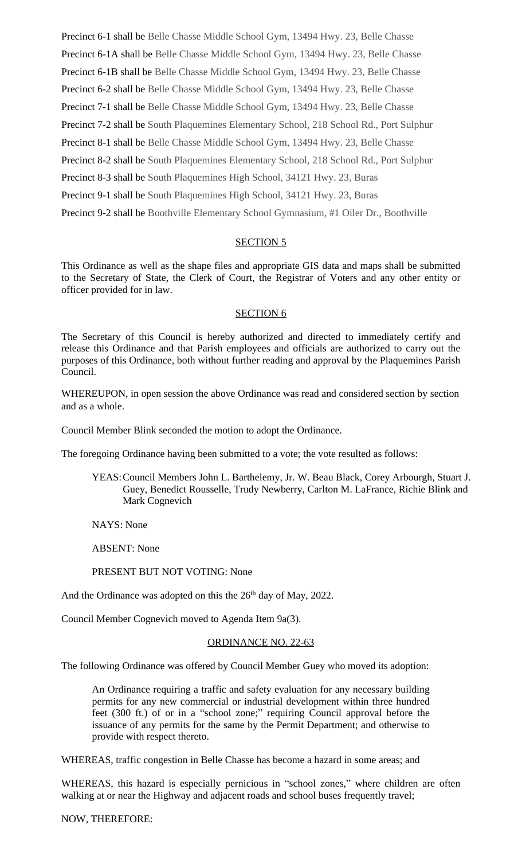Precinct 6-1 shall be Belle Chasse Middle School Gym, 13494 Hwy. 23, Belle Chasse Precinct 6-1A shall be Belle Chasse Middle School Gym, 13494 Hwy. 23, Belle Chasse Precinct 6-1B shall be Belle Chasse Middle School Gym, 13494 Hwy. 23, Belle Chasse Precinct 6-2 shall be Belle Chasse Middle School Gym, 13494 Hwy. 23, Belle Chasse Precinct 7-1 shall be Belle Chasse Middle School Gym, 13494 Hwy. 23, Belle Chasse Precinct 7-2 shall be South Plaquemines Elementary School, 218 School Rd., Port Sulphur Precinct 8-1 shall be Belle Chasse Middle School Gym, 13494 Hwy. 23, Belle Chasse Precinct 8-2 shall be South Plaquemines Elementary School, 218 School Rd., Port Sulphur Precinct 8-3 shall be South Plaquemines High School, 34121 Hwy. 23, Buras Precinct 9-1 shall be South Plaquemines High School, 34121 Hwy. 23, Buras Precinct 9-2 shall be Boothville Elementary School Gymnasium, #1 Oiler Dr., Boothville

# SECTION 5

This Ordinance as well as the shape files and appropriate GIS data and maps shall be submitted to the Secretary of State, the Clerk of Court, the Registrar of Voters and any other entity or officer provided for in law.

# SECTION 6

The Secretary of this Council is hereby authorized and directed to immediately certify and release this Ordinance and that Parish employees and officials are authorized to carry out the purposes of this Ordinance, both without further reading and approval by the Plaquemines Parish Council.

WHEREUPON, in open session the above Ordinance was read and considered section by section and as a whole.

Council Member Blink seconded the motion to adopt the Ordinance.

The foregoing Ordinance having been submitted to a vote; the vote resulted as follows:

YEAS:Council Members John L. Barthelemy, Jr. W. Beau Black, Corey Arbourgh, Stuart J. Guey, Benedict Rousselle, Trudy Newberry, Carlton M. LaFrance, Richie Blink and Mark Cognevich

NAYS: None

ABSENT: None

PRESENT BUT NOT VOTING: None

And the Ordinance was adopted on this the 26<sup>th</sup> day of May, 2022.

Council Member Cognevich moved to Agenda Item 9a(3).

# ORDINANCE NO. 22-63

The following Ordinance was offered by Council Member Guey who moved its adoption:

An Ordinance requiring a traffic and safety evaluation for any necessary building permits for any new commercial or industrial development within three hundred feet (300 ft.) of or in a "school zone;" requiring Council approval before the issuance of any permits for the same by the Permit Department; and otherwise to provide with respect thereto.

WHEREAS, traffic congestion in Belle Chasse has become a hazard in some areas; and

WHEREAS, this hazard is especially pernicious in "school zones," where children are often walking at or near the Highway and adjacent roads and school buses frequently travel;

# NOW, THEREFORE: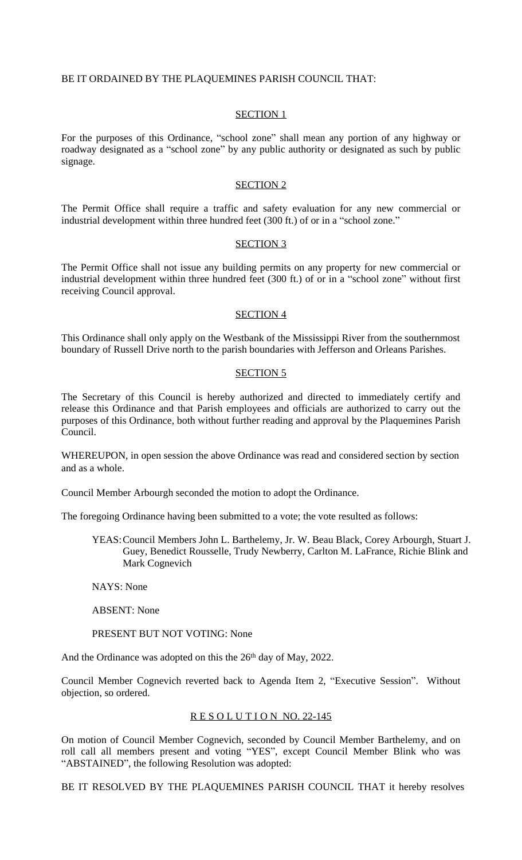## BE IT ORDAINED BY THE PLAQUEMINES PARISH COUNCIL THAT:

#### SECTION 1

For the purposes of this Ordinance, "school zone" shall mean any portion of any highway or roadway designated as a "school zone" by any public authority or designated as such by public signage.

#### SECTION 2

The Permit Office shall require a traffic and safety evaluation for any new commercial or industrial development within three hundred feet (300 ft.) of or in a "school zone."

#### SECTION 3

The Permit Office shall not issue any building permits on any property for new commercial or industrial development within three hundred feet (300 ft.) of or in a "school zone" without first receiving Council approval.

#### SECTION 4

This Ordinance shall only apply on the Westbank of the Mississippi River from the southernmost boundary of Russell Drive north to the parish boundaries with Jefferson and Orleans Parishes.

#### SECTION 5

The Secretary of this Council is hereby authorized and directed to immediately certify and release this Ordinance and that Parish employees and officials are authorized to carry out the purposes of this Ordinance, both without further reading and approval by the Plaquemines Parish Council.

WHEREUPON, in open session the above Ordinance was read and considered section by section and as a whole.

Council Member Arbourgh seconded the motion to adopt the Ordinance.

The foregoing Ordinance having been submitted to a vote; the vote resulted as follows:

YEAS:Council Members John L. Barthelemy, Jr. W. Beau Black, Corey Arbourgh, Stuart J. Guey, Benedict Rousselle, Trudy Newberry, Carlton M. LaFrance, Richie Blink and Mark Cognevich

NAYS: None

ABSENT: None

PRESENT BUT NOT VOTING: None

And the Ordinance was adopted on this the 26<sup>th</sup> day of May, 2022.

Council Member Cognevich reverted back to Agenda Item 2, "Executive Session". Without objection, so ordered.

#### RESOLUTION NO. 22-145

On motion of Council Member Cognevich, seconded by Council Member Barthelemy, and on roll call all members present and voting "YES", except Council Member Blink who was "ABSTAINED", the following Resolution was adopted:

BE IT RESOLVED BY THE PLAQUEMINES PARISH COUNCIL THAT it hereby resolves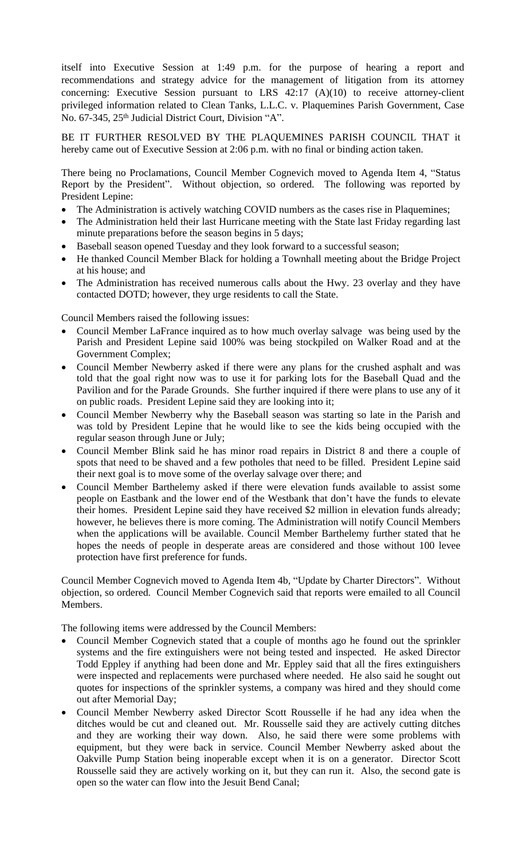itself into Executive Session at 1:49 p.m. for the purpose of hearing a report and recommendations and strategy advice for the management of litigation from its attorney concerning: Executive Session pursuant to LRS 42:17 (A)(10) to receive attorney-client privileged information related to Clean Tanks, L.L.C. v. Plaquemines Parish Government, Case No. 67-345, 25th Judicial District Court, Division "A".

BE IT FURTHER RESOLVED BY THE PLAQUEMINES PARISH COUNCIL THAT it hereby came out of Executive Session at 2:06 p.m. with no final or binding action taken.

There being no Proclamations, Council Member Cognevich moved to Agenda Item 4, "Status Report by the President". Without objection, so ordered. The following was reported by President Lepine:

- The Administration is actively watching COVID numbers as the cases rise in Plaquemines;
- The Administration held their last Hurricane meeting with the State last Friday regarding last minute preparations before the season begins in 5 days;
- Baseball season opened Tuesday and they look forward to a successful season;
- He thanked Council Member Black for holding a Townhall meeting about the Bridge Project at his house; and
- The Administration has received numerous calls about the Hwy. 23 overlay and they have contacted DOTD; however, they urge residents to call the State.

Council Members raised the following issues:

- Council Member LaFrance inquired as to how much overlay salvage was being used by the Parish and President Lepine said 100% was being stockpiled on Walker Road and at the Government Complex;
- Council Member Newberry asked if there were any plans for the crushed asphalt and was told that the goal right now was to use it for parking lots for the Baseball Quad and the Pavilion and for the Parade Grounds. She further inquired if there were plans to use any of it on public roads. President Lepine said they are looking into it;
- Council Member Newberry why the Baseball season was starting so late in the Parish and was told by President Lepine that he would like to see the kids being occupied with the regular season through June or July;
- Council Member Blink said he has minor road repairs in District 8 and there a couple of spots that need to be shaved and a few potholes that need to be filled. President Lepine said their next goal is to move some of the overlay salvage over there; and
- Council Member Barthelemy asked if there were elevation funds available to assist some people on Eastbank and the lower end of the Westbank that don't have the funds to elevate their homes. President Lepine said they have received \$2 million in elevation funds already; however, he believes there is more coming. The Administration will notify Council Members when the applications will be available. Council Member Barthelemy further stated that he hopes the needs of people in desperate areas are considered and those without 100 levee protection have first preference for funds.

Council Member Cognevich moved to Agenda Item 4b, "Update by Charter Directors". Without objection, so ordered. Council Member Cognevich said that reports were emailed to all Council Members.

The following items were addressed by the Council Members:

- Council Member Cognevich stated that a couple of months ago he found out the sprinkler systems and the fire extinguishers were not being tested and inspected. He asked Director Todd Eppley if anything had been done and Mr. Eppley said that all the fires extinguishers were inspected and replacements were purchased where needed. He also said he sought out quotes for inspections of the sprinkler systems, a company was hired and they should come out after Memorial Day;
- Council Member Newberry asked Director Scott Rousselle if he had any idea when the ditches would be cut and cleaned out. Mr. Rousselle said they are actively cutting ditches and they are working their way down. Also, he said there were some problems with equipment, but they were back in service. Council Member Newberry asked about the Oakville Pump Station being inoperable except when it is on a generator. Director Scott Rousselle said they are actively working on it, but they can run it. Also, the second gate is open so the water can flow into the Jesuit Bend Canal;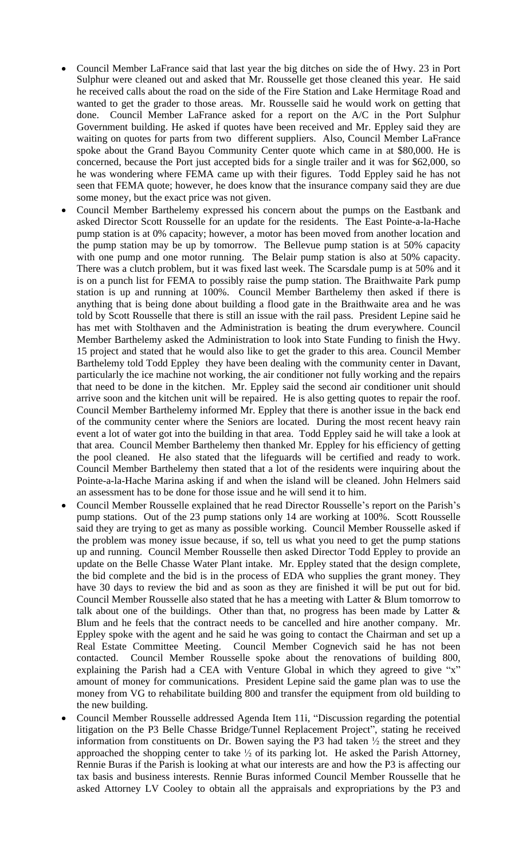- Council Member LaFrance said that last year the big ditches on side the of Hwy. 23 in Port Sulphur were cleaned out and asked that Mr. Rousselle get those cleaned this year. He said he received calls about the road on the side of the Fire Station and Lake Hermitage Road and wanted to get the grader to those areas. Mr. Rousselle said he would work on getting that done. Council Member LaFrance asked for a report on the A/C in the Port Sulphur Government building. He asked if quotes have been received and Mr. Eppley said they are waiting on quotes for parts from two different suppliers. Also, Council Member LaFrance spoke about the Grand Bayou Community Center quote which came in at \$80,000. He is concerned, because the Port just accepted bids for a single trailer and it was for \$62,000, so he was wondering where FEMA came up with their figures. Todd Eppley said he has not seen that FEMA quote; however, he does know that the insurance company said they are due some money, but the exact price was not given.
- Council Member Barthelemy expressed his concern about the pumps on the Eastbank and asked Director Scott Rousselle for an update for the residents. The East Pointe-a-la-Hache pump station is at 0% capacity; however, a motor has been moved from another location and the pump station may be up by tomorrow. The Bellevue pump station is at 50% capacity with one pump and one motor running. The Belair pump station is also at 50% capacity. There was a clutch problem, but it was fixed last week. The Scarsdale pump is at 50% and it is on a punch list for FEMA to possibly raise the pump station. The Braithwaite Park pump station is up and running at 100%. Council Member Barthelemy then asked if there is anything that is being done about building a flood gate in the Braithwaite area and he was told by Scott Rousselle that there is still an issue with the rail pass. President Lepine said he has met with Stolthaven and the Administration is beating the drum everywhere. Council Member Barthelemy asked the Administration to look into State Funding to finish the Hwy. 15 project and stated that he would also like to get the grader to this area. Council Member Barthelemy told Todd Eppley they have been dealing with the community center in Davant, particularly the ice machine not working, the air conditioner not fully working and the repairs that need to be done in the kitchen. Mr. Eppley said the second air conditioner unit should arrive soon and the kitchen unit will be repaired. He is also getting quotes to repair the roof. Council Member Barthelemy informed Mr. Eppley that there is another issue in the back end of the community center where the Seniors are located. During the most recent heavy rain event a lot of water got into the building in that area. Todd Eppley said he will take a look at that area. Council Member Barthelemy then thanked Mr. Eppley for his efficiency of getting the pool cleaned. He also stated that the lifeguards will be certified and ready to work. Council Member Barthelemy then stated that a lot of the residents were inquiring about the Pointe-a-la-Hache Marina asking if and when the island will be cleaned. John Helmers said an assessment has to be done for those issue and he will send it to him.
- Council Member Rousselle explained that he read Director Rousselle's report on the Parish's pump stations. Out of the 23 pump stations only 14 are working at 100%. Scott Rousselle said they are trying to get as many as possible working. Council Member Rousselle asked if the problem was money issue because, if so, tell us what you need to get the pump stations up and running. Council Member Rousselle then asked Director Todd Eppley to provide an update on the Belle Chasse Water Plant intake. Mr. Eppley stated that the design complete, the bid complete and the bid is in the process of EDA who supplies the grant money. They have 30 days to review the bid and as soon as they are finished it will be put out for bid. Council Member Rousselle also stated that he has a meeting with Latter & Blum tomorrow to talk about one of the buildings. Other than that, no progress has been made by Latter  $\&$ Blum and he feels that the contract needs to be cancelled and hire another company. Mr. Eppley spoke with the agent and he said he was going to contact the Chairman and set up a Real Estate Committee Meeting. Council Member Cognevich said he has not been contacted. Council Member Rousselle spoke about the renovations of building 800, explaining the Parish had a CEA with Venture Global in which they agreed to give "x" amount of money for communications. President Lepine said the game plan was to use the money from VG to rehabilitate building 800 and transfer the equipment from old building to the new building.
- Council Member Rousselle addressed Agenda Item 11i, "Discussion regarding the potential litigation on the P3 Belle Chasse Bridge/Tunnel Replacement Project", stating he received information from constituents on Dr. Bowen saying the P3 had taken ½ the street and they approached the shopping center to take  $\frac{1}{2}$  of its parking lot. He asked the Parish Attorney, Rennie Buras if the Parish is looking at what our interests are and how the P3 is affecting our tax basis and business interests. Rennie Buras informed Council Member Rousselle that he asked Attorney LV Cooley to obtain all the appraisals and expropriations by the P3 and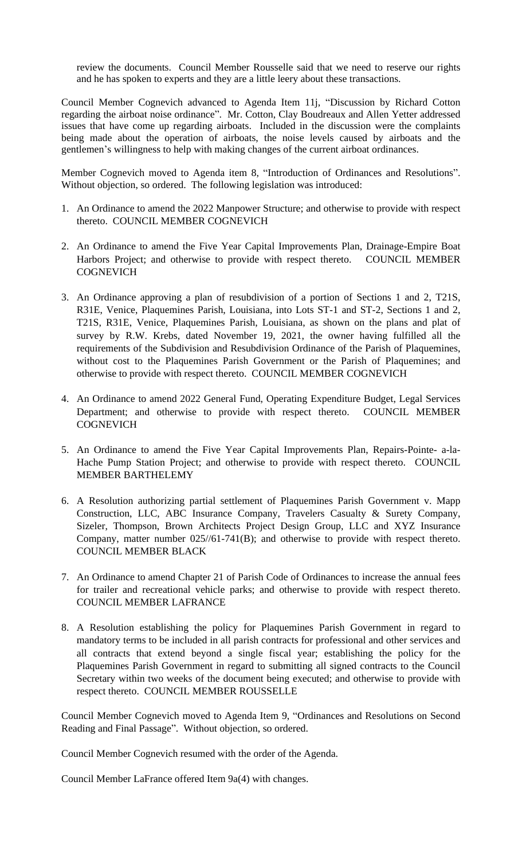review the documents. Council Member Rousselle said that we need to reserve our rights and he has spoken to experts and they are a little leery about these transactions.

Council Member Cognevich advanced to Agenda Item 11j, "Discussion by Richard Cotton regarding the airboat noise ordinance". Mr. Cotton, Clay Boudreaux and Allen Yetter addressed issues that have come up regarding airboats. Included in the discussion were the complaints being made about the operation of airboats, the noise levels caused by airboats and the gentlemen's willingness to help with making changes of the current airboat ordinances.

Member Cognevich moved to Agenda item 8, "Introduction of Ordinances and Resolutions". Without objection, so ordered. The following legislation was introduced:

- 1. An Ordinance to amend the 2022 Manpower Structure; and otherwise to provide with respect thereto. COUNCIL MEMBER COGNEVICH
- 2. An Ordinance to amend the Five Year Capital Improvements Plan, Drainage-Empire Boat Harbors Project; and otherwise to provide with respect thereto. COUNCIL MEMBER **COGNEVICH**
- 3. An Ordinance approving a plan of resubdivision of a portion of Sections 1 and 2, T21S, R31E, Venice, Plaquemines Parish, Louisiana, into Lots ST-1 and ST-2, Sections 1 and 2, T21S, R31E, Venice, Plaquemines Parish, Louisiana, as shown on the plans and plat of survey by R.W. Krebs, dated November 19, 2021, the owner having fulfilled all the requirements of the Subdivision and Resubdivision Ordinance of the Parish of Plaquemines, without cost to the Plaquemines Parish Government or the Parish of Plaquemines; and otherwise to provide with respect thereto. COUNCIL MEMBER COGNEVICH
- 4. An Ordinance to amend 2022 General Fund, Operating Expenditure Budget, Legal Services Department; and otherwise to provide with respect thereto. COUNCIL MEMBER **COGNEVICH**
- 5. An Ordinance to amend the Five Year Capital Improvements Plan, Repairs-Pointe- a-la-Hache Pump Station Project; and otherwise to provide with respect thereto. COUNCIL MEMBER BARTHELEMY
- 6. A Resolution authorizing partial settlement of Plaquemines Parish Government v. Mapp Construction, LLC, ABC Insurance Company, Travelers Casualty & Surety Company, Sizeler, Thompson, Brown Architects Project Design Group, LLC and XYZ Insurance Company, matter number 025//61-741(B); and otherwise to provide with respect thereto. COUNCIL MEMBER BLACK
- 7. An Ordinance to amend Chapter 21 of Parish Code of Ordinances to increase the annual fees for trailer and recreational vehicle parks; and otherwise to provide with respect thereto. COUNCIL MEMBER LAFRANCE
- 8. A Resolution establishing the policy for Plaquemines Parish Government in regard to mandatory terms to be included in all parish contracts for professional and other services and all contracts that extend beyond a single fiscal year; establishing the policy for the Plaquemines Parish Government in regard to submitting all signed contracts to the Council Secretary within two weeks of the document being executed; and otherwise to provide with respect thereto. COUNCIL MEMBER ROUSSELLE

Council Member Cognevich moved to Agenda Item 9, "Ordinances and Resolutions on Second Reading and Final Passage". Without objection, so ordered.

Council Member Cognevich resumed with the order of the Agenda.

Council Member LaFrance offered Item 9a(4) with changes.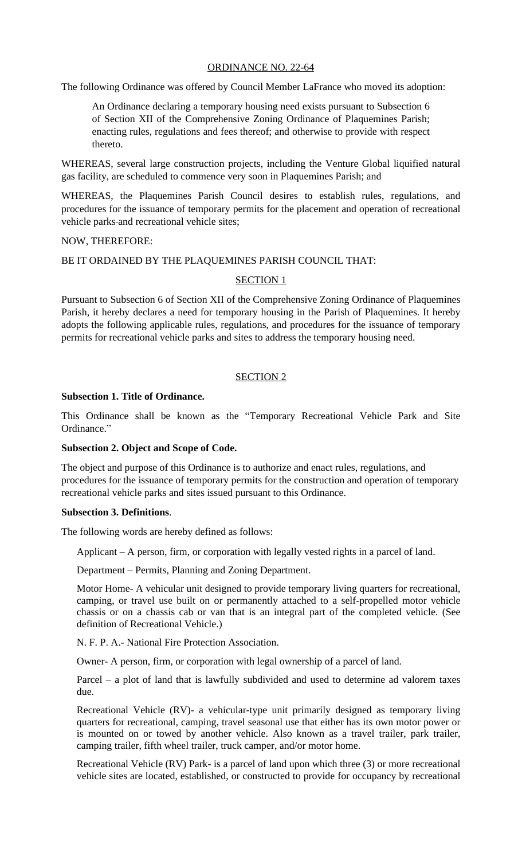# ORDINANCE NO. 22-64

The following Ordinance was offered by Council Member LaFrance who moved its adoption:

An Ordinance declaring a temporary housing need exists pursuant to Subsection 6 of Section XII of the Comprehensive Zoning Ordinance of Plaquemines Parish; enacting rules, regulations and fees thereof; and otherwise to provide with respect thereto.

WHEREAS, several large construction projects, including the Venture Global liquified natural gas facility, are scheduled to commence very soon in Plaquemines Parish; and

WHEREAS, the Plaquemines Parish Council desires to establish rules, regulations, and procedures for the issuance of temporary permits for the placement and operation of recreational vehicle parks-and recreational vehicle sites;

### NOW, THEREFORE:

### BE IT ORDAINED BY THE PLAQUEMINES PARISH COUNCIL THAT:

### SECTION 1

Pursuant to Subsection 6 of Section XII of the Comprehensive Zoning Ordinance of Plaquemines Parish, it hereby declares a need for temporary housing in the Parish of Plaquemines. It hereby adopts the following applicable rules, regulations, and procedures for the issuance of temporary permits for recreational vehicle parks and sites to address the temporary housing need.

# SECTION 2

### **Subsection 1. Title of Ordinance.**

This Ordinance shall be known as the "Temporary Recreational Vehicle Park and Site Ordinance."

#### **Subsection 2. Object and Scope of Code.**

The object and purpose of this Ordinance is to authorize and enact rules, regulations, and procedures for the issuance of temporary permits for the construction and operation of temporary recreational vehicle parks and sites issued pursuant to this Ordinance.

#### **Subsection 3. Definitions**.

The following words are hereby defined as follows:

Applicant – A person, firm, or corporation with legally vested rights in a parcel of land.

Department – Permits, Planning and Zoning Department.

Motor Home- A vehicular unit designed to provide temporary living quarters for recreational, camping, or travel use built on or permanently attached to a self-propelled motor vehicle chassis or on a chassis cab or van that is an integral part of the completed vehicle. (See definition of Recreational Vehicle.)

N. F. P. A.- National Fire Protection Association.

Owner- A person, firm, or corporation with legal ownership of a parcel of land.

Parcel – a plot of land that is lawfully subdivided and used to determine ad valorem taxes due.

Recreational Vehicle (RV)- a vehicular-type unit primarily designed as temporary living quarters for recreational, camping, travel seasonal use that either has its own motor power or is mounted on or towed by another vehicle. Also known as a travel trailer, park trailer, camping trailer, fifth wheel trailer, truck camper, and/or motor home.

Recreational Vehicle (RV) Park- is a parcel of land upon which three (3) or more recreational vehicle sites are located, established, or constructed to provide for occupancy by recreational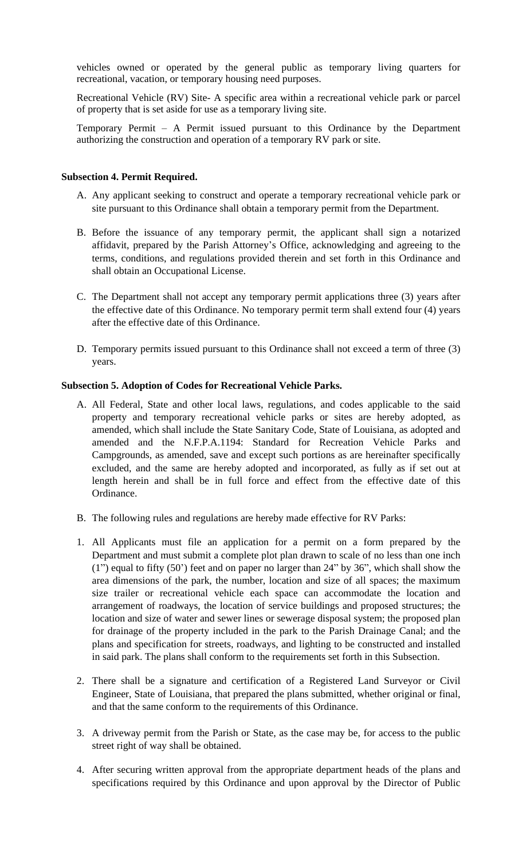vehicles owned or operated by the general public as temporary living quarters for recreational, vacation, or temporary housing need purposes.

Recreational Vehicle (RV) Site- A specific area within a recreational vehicle park or parcel of property that is set aside for use as a temporary living site.

Temporary Permit – A Permit issued pursuant to this Ordinance by the Department authorizing the construction and operation of a temporary RV park or site.

## **Subsection 4. Permit Required.**

- A. Any applicant seeking to construct and operate a temporary recreational vehicle park or site pursuant to this Ordinance shall obtain a temporary permit from the Department.
- B. Before the issuance of any temporary permit, the applicant shall sign a notarized affidavit, prepared by the Parish Attorney's Office, acknowledging and agreeing to the terms, conditions, and regulations provided therein and set forth in this Ordinance and shall obtain an Occupational License.
- C. The Department shall not accept any temporary permit applications three (3) years after the effective date of this Ordinance. No temporary permit term shall extend four (4) years after the effective date of this Ordinance.
- D. Temporary permits issued pursuant to this Ordinance shall not exceed a term of three (3) years.

# **Subsection 5. Adoption of Codes for Recreational Vehicle Parks.**

- A. All Federal, State and other local laws, regulations, and codes applicable to the said property and temporary recreational vehicle parks or sites are hereby adopted, as amended, which shall include the State Sanitary Code, State of Louisiana, as adopted and amended and the N.F.P.A.1194: Standard for Recreation Vehicle Parks and Campgrounds, as amended, save and except such portions as are hereinafter specifically excluded, and the same are hereby adopted and incorporated, as fully as if set out at length herein and shall be in full force and effect from the effective date of this Ordinance.
- B. The following rules and regulations are hereby made effective for RV Parks:
- 1. All Applicants must file an application for a permit on a form prepared by the Department and must submit a complete plot plan drawn to scale of no less than one inch (1") equal to fifty (50') feet and on paper no larger than 24" by 36", which shall show the area dimensions of the park, the number, location and size of all spaces; the maximum size trailer or recreational vehicle each space can accommodate the location and arrangement of roadways, the location of service buildings and proposed structures; the location and size of water and sewer lines or sewerage disposal system; the proposed plan for drainage of the property included in the park to the Parish Drainage Canal; and the plans and specification for streets, roadways, and lighting to be constructed and installed in said park. The plans shall conform to the requirements set forth in this Subsection.
- 2. There shall be a signature and certification of a Registered Land Surveyor or Civil Engineer, State of Louisiana, that prepared the plans submitted, whether original or final, and that the same conform to the requirements of this Ordinance.
- 3. A driveway permit from the Parish or State, as the case may be, for access to the public street right of way shall be obtained.
- 4. After securing written approval from the appropriate department heads of the plans and specifications required by this Ordinance and upon approval by the Director of Public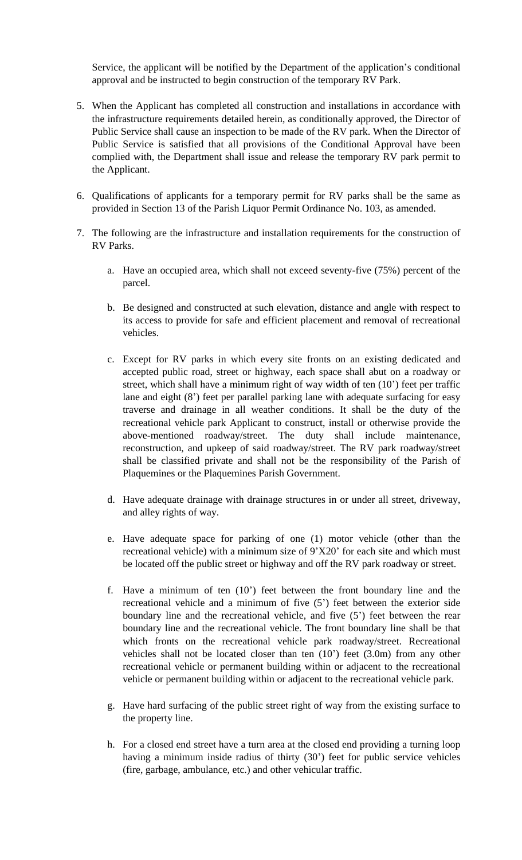Service, the applicant will be notified by the Department of the application's conditional approval and be instructed to begin construction of the temporary RV Park.

- 5. When the Applicant has completed all construction and installations in accordance with the infrastructure requirements detailed herein, as conditionally approved, the Director of Public Service shall cause an inspection to be made of the RV park. When the Director of Public Service is satisfied that all provisions of the Conditional Approval have been complied with, the Department shall issue and release the temporary RV park permit to the Applicant.
- 6. Qualifications of applicants for a temporary permit for RV parks shall be the same as provided in Section 13 of the Parish Liquor Permit Ordinance No. 103, as amended.
- 7. The following are the infrastructure and installation requirements for the construction of RV Parks.
	- a. Have an occupied area, which shall not exceed seventy-five (75%) percent of the parcel.
	- b. Be designed and constructed at such elevation, distance and angle with respect to its access to provide for safe and efficient placement and removal of recreational vehicles.
	- c. Except for RV parks in which every site fronts on an existing dedicated and accepted public road, street or highway, each space shall abut on a roadway or street, which shall have a minimum right of way width of ten (10') feet per traffic lane and eight (8') feet per parallel parking lane with adequate surfacing for easy traverse and drainage in all weather conditions. It shall be the duty of the recreational vehicle park Applicant to construct, install or otherwise provide the above-mentioned roadway/street. The duty shall include maintenance, reconstruction, and upkeep of said roadway/street. The RV park roadway/street shall be classified private and shall not be the responsibility of the Parish of Plaquemines or the Plaquemines Parish Government.
	- d. Have adequate drainage with drainage structures in or under all street, driveway, and alley rights of way.
	- e. Have adequate space for parking of one (1) motor vehicle (other than the recreational vehicle) with a minimum size of 9'X20' for each site and which must be located off the public street or highway and off the RV park roadway or street.
	- f. Have a minimum of ten (10') feet between the front boundary line and the recreational vehicle and a minimum of five (5') feet between the exterior side boundary line and the recreational vehicle, and five (5') feet between the rear boundary line and the recreational vehicle. The front boundary line shall be that which fronts on the recreational vehicle park roadway/street. Recreational vehicles shall not be located closer than ten (10') feet (3.0m) from any other recreational vehicle or permanent building within or adjacent to the recreational vehicle or permanent building within or adjacent to the recreational vehicle park.
	- g. Have hard surfacing of the public street right of way from the existing surface to the property line.
	- h. For a closed end street have a turn area at the closed end providing a turning loop having a minimum inside radius of thirty (30') feet for public service vehicles (fire, garbage, ambulance, etc.) and other vehicular traffic.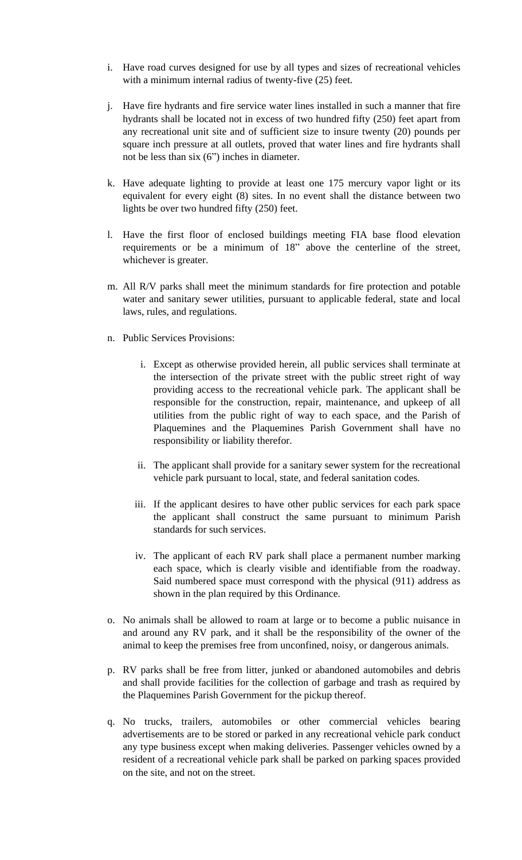- i. Have road curves designed for use by all types and sizes of recreational vehicles with a minimum internal radius of twenty-five (25) feet.
- j. Have fire hydrants and fire service water lines installed in such a manner that fire hydrants shall be located not in excess of two hundred fifty (250) feet apart from any recreational unit site and of sufficient size to insure twenty (20) pounds per square inch pressure at all outlets, proved that water lines and fire hydrants shall not be less than six (6") inches in diameter.
- k. Have adequate lighting to provide at least one 175 mercury vapor light or its equivalent for every eight (8) sites. In no event shall the distance between two lights be over two hundred fifty (250) feet.
- l. Have the first floor of enclosed buildings meeting FIA base flood elevation requirements or be a minimum of 18" above the centerline of the street, whichever is greater.
- m. All R/V parks shall meet the minimum standards for fire protection and potable water and sanitary sewer utilities, pursuant to applicable federal, state and local laws, rules, and regulations.
- n. Public Services Provisions:
	- i. Except as otherwise provided herein, all public services shall terminate at the intersection of the private street with the public street right of way providing access to the recreational vehicle park. The applicant shall be responsible for the construction, repair, maintenance, and upkeep of all utilities from the public right of way to each space, and the Parish of Plaquemines and the Plaquemines Parish Government shall have no responsibility or liability therefor.
	- ii. The applicant shall provide for a sanitary sewer system for the recreational vehicle park pursuant to local, state, and federal sanitation codes.
	- iii. If the applicant desires to have other public services for each park space the applicant shall construct the same pursuant to minimum Parish standards for such services.
	- iv. The applicant of each RV park shall place a permanent number marking each space, which is clearly visible and identifiable from the roadway. Said numbered space must correspond with the physical (911) address as shown in the plan required by this Ordinance.
- o. No animals shall be allowed to roam at large or to become a public nuisance in and around any RV park, and it shall be the responsibility of the owner of the animal to keep the premises free from unconfined, noisy, or dangerous animals.
- p. RV parks shall be free from litter, junked or abandoned automobiles and debris and shall provide facilities for the collection of garbage and trash as required by the Plaquemines Parish Government for the pickup thereof.
- q. No trucks, trailers, automobiles or other commercial vehicles bearing advertisements are to be stored or parked in any recreational vehicle park conduct any type business except when making deliveries. Passenger vehicles owned by a resident of a recreational vehicle park shall be parked on parking spaces provided on the site, and not on the street.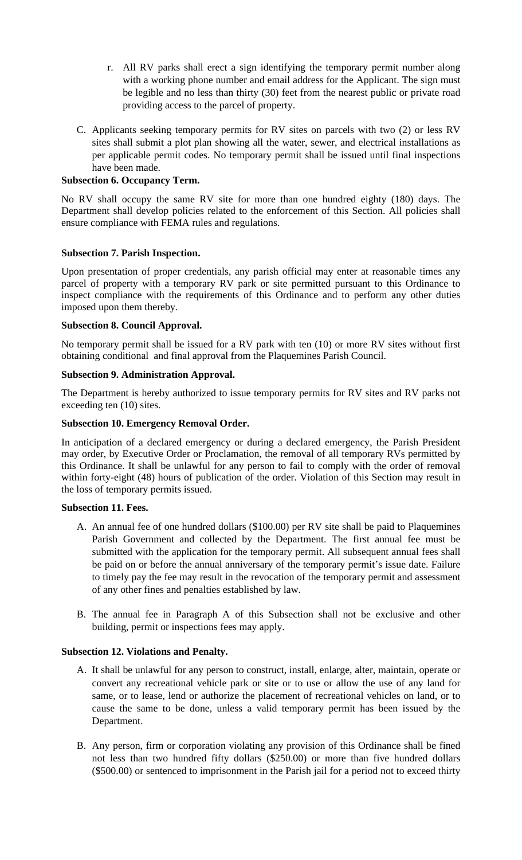- r. All RV parks shall erect a sign identifying the temporary permit number along with a working phone number and email address for the Applicant. The sign must be legible and no less than thirty (30) feet from the nearest public or private road providing access to the parcel of property.
- C. Applicants seeking temporary permits for RV sites on parcels with two (2) or less RV sites shall submit a plot plan showing all the water, sewer, and electrical installations as per applicable permit codes. No temporary permit shall be issued until final inspections have been made.

# **Subsection 6. Occupancy Term.**

No RV shall occupy the same RV site for more than one hundred eighty (180) days. The Department shall develop policies related to the enforcement of this Section. All policies shall ensure compliance with FEMA rules and regulations.

### **Subsection 7. Parish Inspection.**

Upon presentation of proper credentials, any parish official may enter at reasonable times any parcel of property with a temporary RV park or site permitted pursuant to this Ordinance to inspect compliance with the requirements of this Ordinance and to perform any other duties imposed upon them thereby.

### **Subsection 8. Council Approval.**

No temporary permit shall be issued for a RV park with ten (10) or more RV sites without first obtaining conditional and final approval from the Plaquemines Parish Council.

# **Subsection 9. Administration Approval.**

The Department is hereby authorized to issue temporary permits for RV sites and RV parks not exceeding ten (10) sites.

### **Subsection 10. Emergency Removal Order.**

In anticipation of a declared emergency or during a declared emergency, the Parish President may order, by Executive Order or Proclamation, the removal of all temporary RVs permitted by this Ordinance. It shall be unlawful for any person to fail to comply with the order of removal within forty-eight (48) hours of publication of the order. Violation of this Section may result in the loss of temporary permits issued.

#### **Subsection 11. Fees.**

- A. An annual fee of one hundred dollars (\$100.00) per RV site shall be paid to Plaquemines Parish Government and collected by the Department. The first annual fee must be submitted with the application for the temporary permit. All subsequent annual fees shall be paid on or before the annual anniversary of the temporary permit's issue date. Failure to timely pay the fee may result in the revocation of the temporary permit and assessment of any other fines and penalties established by law.
- B. The annual fee in Paragraph A of this Subsection shall not be exclusive and other building, permit or inspections fees may apply.

#### **Subsection 12. Violations and Penalty.**

- A. It shall be unlawful for any person to construct, install, enlarge, alter, maintain, operate or convert any recreational vehicle park or site or to use or allow the use of any land for same, or to lease, lend or authorize the placement of recreational vehicles on land, or to cause the same to be done, unless a valid temporary permit has been issued by the Department.
- B. Any person, firm or corporation violating any provision of this Ordinance shall be fined not less than two hundred fifty dollars (\$250.00) or more than five hundred dollars (\$500.00) or sentenced to imprisonment in the Parish jail for a period not to exceed thirty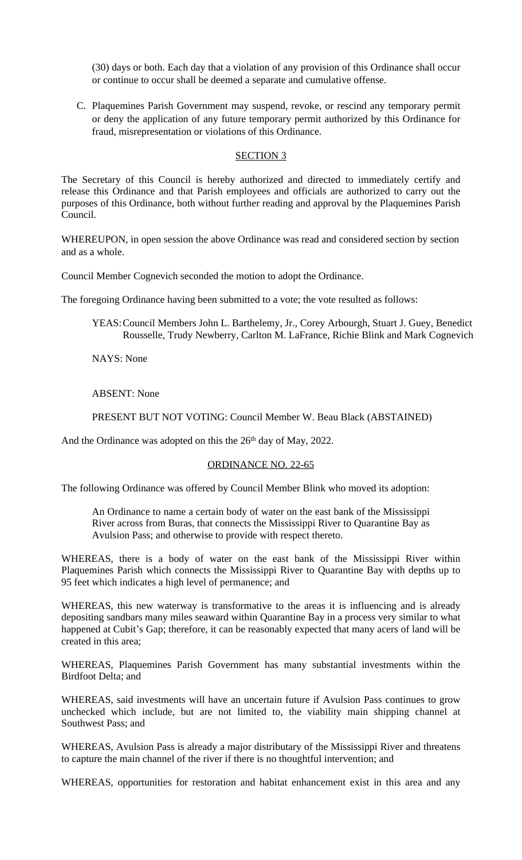(30) days or both. Each day that a violation of any provision of this Ordinance shall occur or continue to occur shall be deemed a separate and cumulative offense.

C. Plaquemines Parish Government may suspend, revoke, or rescind any temporary permit or deny the application of any future temporary permit authorized by this Ordinance for fraud, misrepresentation or violations of this Ordinance.

## SECTION 3

The Secretary of this Council is hereby authorized and directed to immediately certify and release this Ordinance and that Parish employees and officials are authorized to carry out the purposes of this Ordinance, both without further reading and approval by the Plaquemines Parish Council.

WHEREUPON, in open session the above Ordinance was read and considered section by section and as a whole.

Council Member Cognevich seconded the motion to adopt the Ordinance.

The foregoing Ordinance having been submitted to a vote; the vote resulted as follows:

YEAS:Council Members John L. Barthelemy, Jr., Corey Arbourgh, Stuart J. Guey, Benedict Rousselle, Trudy Newberry, Carlton M. LaFrance, Richie Blink and Mark Cognevich

NAYS: None

ABSENT: None

PRESENT BUT NOT VOTING: Council Member W. Beau Black (ABSTAINED)

And the Ordinance was adopted on this the 26<sup>th</sup> day of May, 2022.

#### ORDINANCE NO. 22-65

The following Ordinance was offered by Council Member Blink who moved its adoption:

An Ordinance to name a certain body of water on the east bank of the Mississippi River across from Buras, that connects the Mississippi River to Quarantine Bay as Avulsion Pass; and otherwise to provide with respect thereto.

WHEREAS, there is a body of water on the east bank of the Mississippi River within Plaquemines Parish which connects the Mississippi River to Quarantine Bay with depths up to 95 feet which indicates a high level of permanence; and

WHEREAS, this new waterway is transformative to the areas it is influencing and is already depositing sandbars many miles seaward within Quarantine Bay in a process very similar to what happened at Cubit's Gap; therefore, it can be reasonably expected that many acers of land will be created in this area;

WHEREAS, Plaquemines Parish Government has many substantial investments within the Birdfoot Delta; and

WHEREAS, said investments will have an uncertain future if Avulsion Pass continues to grow unchecked which include, but are not limited to, the viability main shipping channel at Southwest Pass; and

WHEREAS, Avulsion Pass is already a major distributary of the Mississippi River and threatens to capture the main channel of the river if there is no thoughtful intervention; and

WHEREAS, opportunities for restoration and habitat enhancement exist in this area and any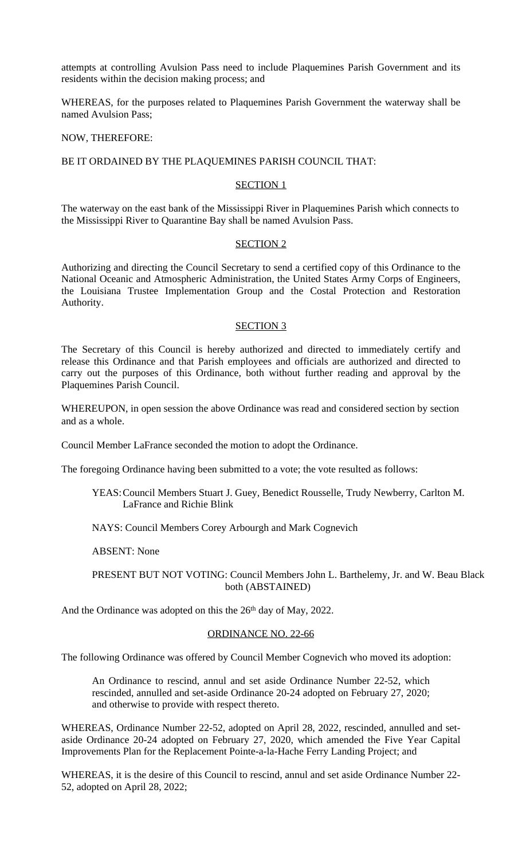attempts at controlling Avulsion Pass need to include Plaquemines Parish Government and its residents within the decision making process; and

WHEREAS, for the purposes related to Plaquemines Parish Government the waterway shall be named Avulsion Pass;

#### NOW, THEREFORE:

## BE IT ORDAINED BY THE PLAQUEMINES PARISH COUNCIL THAT:

### SECTION 1

The waterway on the east bank of the Mississippi River in Plaquemines Parish which connects to the Mississippi River to Quarantine Bay shall be named Avulsion Pass.

### SECTION 2

Authorizing and directing the Council Secretary to send a certified copy of this Ordinance to the National Oceanic and Atmospheric Administration, the United States Army Corps of Engineers, the Louisiana Trustee Implementation Group and the Costal Protection and Restoration Authority.

# SECTION 3

The Secretary of this Council is hereby authorized and directed to immediately certify and release this Ordinance and that Parish employees and officials are authorized and directed to carry out the purposes of this Ordinance, both without further reading and approval by the Plaquemines Parish Council.

WHEREUPON, in open session the above Ordinance was read and considered section by section and as a whole.

Council Member LaFrance seconded the motion to adopt the Ordinance.

The foregoing Ordinance having been submitted to a vote; the vote resulted as follows:

YEAS:Council Members Stuart J. Guey, Benedict Rousselle, Trudy Newberry, Carlton M. LaFrance and Richie Blink

# NAYS: Council Members Corey Arbourgh and Mark Cognevich

ABSENT: None

PRESENT BUT NOT VOTING: Council Members John L. Barthelemy, Jr. and W. Beau Black both (ABSTAINED)

And the Ordinance was adopted on this the 26<sup>th</sup> day of May, 2022.

#### ORDINANCE NO. 22-66

The following Ordinance was offered by Council Member Cognevich who moved its adoption:

An Ordinance to rescind, annul and set aside Ordinance Number 22-52, which rescinded, annulled and set-aside Ordinance 20-24 adopted on February 27, 2020; and otherwise to provide with respect thereto.

WHEREAS, Ordinance Number 22-52, adopted on April 28, 2022, rescinded, annulled and setaside Ordinance 20-24 adopted on February 27, 2020, which amended the Five Year Capital Improvements Plan for the Replacement Pointe-a-la-Hache Ferry Landing Project; and

WHEREAS, it is the desire of this Council to rescind, annul and set aside Ordinance Number 22- 52, adopted on April 28, 2022;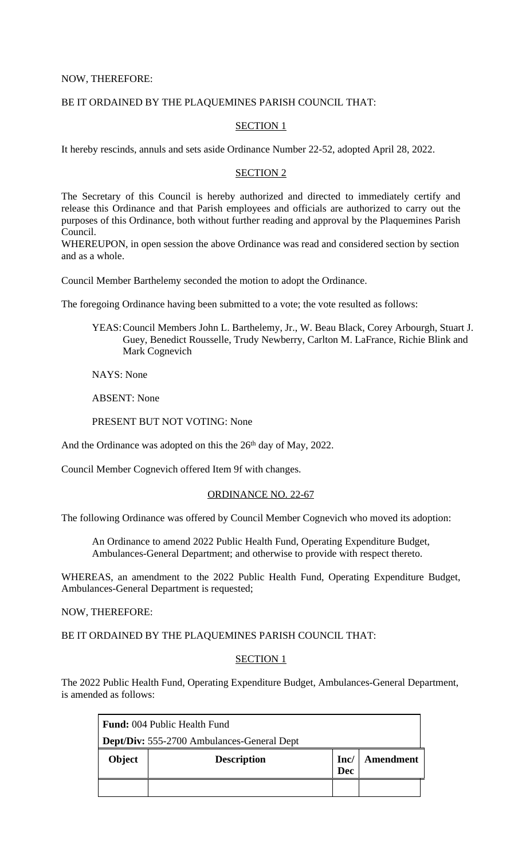NOW, THEREFORE:

# BE IT ORDAINED BY THE PLAQUEMINES PARISH COUNCIL THAT:

## SECTION 1

It hereby rescinds, annuls and sets aside Ordinance Number 22-52, adopted April 28, 2022.

## SECTION 2

The Secretary of this Council is hereby authorized and directed to immediately certify and release this Ordinance and that Parish employees and officials are authorized to carry out the purposes of this Ordinance, both without further reading and approval by the Plaquemines Parish Council.

WHEREUPON, in open session the above Ordinance was read and considered section by section and as a whole.

Council Member Barthelemy seconded the motion to adopt the Ordinance.

The foregoing Ordinance having been submitted to a vote; the vote resulted as follows:

YEAS:Council Members John L. Barthelemy, Jr., W. Beau Black, Corey Arbourgh, Stuart J. Guey, Benedict Rousselle, Trudy Newberry, Carlton M. LaFrance, Richie Blink and Mark Cognevich

NAYS: None

ABSENT: None

PRESENT BUT NOT VOTING: None

And the Ordinance was adopted on this the 26<sup>th</sup> day of May, 2022.

Council Member Cognevich offered Item 9f with changes.

## ORDINANCE NO. 22-67

The following Ordinance was offered by Council Member Cognevich who moved its adoption:

An Ordinance to amend 2022 Public Health Fund, Operating Expenditure Budget, Ambulances-General Department; and otherwise to provide with respect thereto.

WHEREAS, an amendment to the 2022 Public Health Fund, Operating Expenditure Budget, Ambulances-General Department is requested;

NOW, THEREFORE:

BE IT ORDAINED BY THE PLAQUEMINES PARISH COUNCIL THAT:

#### SECTION<sub>1</sub>

The 2022 Public Health Fund, Operating Expenditure Budget, Ambulances-General Department, is amended as follows:

| <b>Fund:</b> 004 Public Health Fund |                                                   |                    |           |
|-------------------------------------|---------------------------------------------------|--------------------|-----------|
|                                     | <b>Dept/Div:</b> 555-2700 Ambulances-General Dept |                    |           |
|                                     |                                                   |                    |           |
| Object                              | <b>Description</b>                                | Inc/<br><b>Dec</b> | Amendment |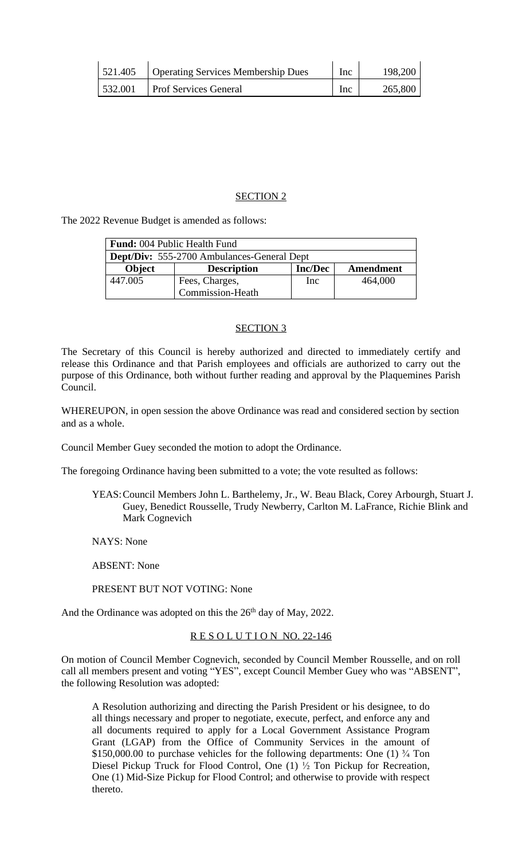| 521.405 | Operating Services Membership Dues | Inc | 198,200 |
|---------|------------------------------------|-----|---------|
| 532.001 | <b>Prof Services General</b>       | Inc | 265,800 |

### SECTION 2

The 2022 Revenue Budget is amended as follows:

| <b>Fund:</b> 004 Public Health Fund               |                    |                |           |
|---------------------------------------------------|--------------------|----------------|-----------|
| <b>Dept/Div:</b> 555-2700 Ambulances-General Dept |                    |                |           |
| <b>Object</b>                                     | <b>Description</b> | <b>Inc/Dec</b> | Amendment |
| 447.005                                           | Fees, Charges,     | Inc            | 464,000   |
|                                                   | Commission-Heath   |                |           |

#### SECTION 3

The Secretary of this Council is hereby authorized and directed to immediately certify and release this Ordinance and that Parish employees and officials are authorized to carry out the purpose of this Ordinance, both without further reading and approval by the Plaquemines Parish Council.

WHEREUPON, in open session the above Ordinance was read and considered section by section and as a whole.

Council Member Guey seconded the motion to adopt the Ordinance.

The foregoing Ordinance having been submitted to a vote; the vote resulted as follows:

YEAS:Council Members John L. Barthelemy, Jr., W. Beau Black, Corey Arbourgh, Stuart J. Guey, Benedict Rousselle, Trudy Newberry, Carlton M. LaFrance, Richie Blink and Mark Cognevich

NAYS: None

ABSENT: None

PRESENT BUT NOT VOTING: None

And the Ordinance was adopted on this the 26<sup>th</sup> day of May, 2022.

# RESOLUTION NO. 22-146

On motion of Council Member Cognevich, seconded by Council Member Rousselle, and on roll call all members present and voting "YES", except Council Member Guey who was "ABSENT", the following Resolution was adopted:

A Resolution authorizing and directing the Parish President or his designee, to do all things necessary and proper to negotiate, execute, perfect, and enforce any and all documents required to apply for a Local Government Assistance Program Grant (LGAP) from the Office of Community Services in the amount of \$150,000.00 to purchase vehicles for the following departments: One  $(1)$   $\frac{3}{4}$  Ton Diesel Pickup Truck for Flood Control, One (1) ½ Ton Pickup for Recreation, One (1) Mid-Size Pickup for Flood Control; and otherwise to provide with respect thereto.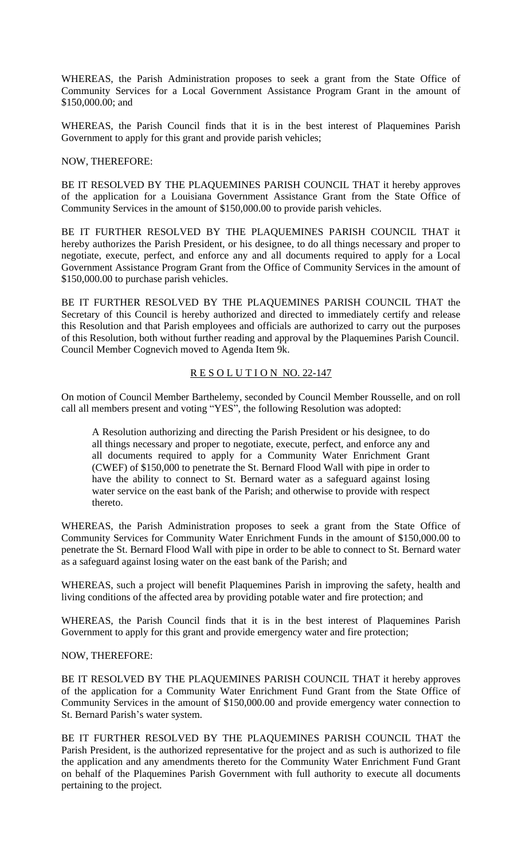WHEREAS, the Parish Administration proposes to seek a grant from the State Office of Community Services for a Local Government Assistance Program Grant in the amount of \$150,000.00; and

WHEREAS, the Parish Council finds that it is in the best interest of Plaquemines Parish Government to apply for this grant and provide parish vehicles;

#### NOW, THEREFORE:

BE IT RESOLVED BY THE PLAQUEMINES PARISH COUNCIL THAT it hereby approves of the application for a Louisiana Government Assistance Grant from the State Office of Community Services in the amount of \$150,000.00 to provide parish vehicles.

BE IT FURTHER RESOLVED BY THE PLAQUEMINES PARISH COUNCIL THAT it hereby authorizes the Parish President, or his designee, to do all things necessary and proper to negotiate, execute, perfect, and enforce any and all documents required to apply for a Local Government Assistance Program Grant from the Office of Community Services in the amount of \$150,000.00 to purchase parish vehicles.

BE IT FURTHER RESOLVED BY THE PLAQUEMINES PARISH COUNCIL THAT the Secretary of this Council is hereby authorized and directed to immediately certify and release this Resolution and that Parish employees and officials are authorized to carry out the purposes of this Resolution, both without further reading and approval by the Plaquemines Parish Council. Council Member Cognevich moved to Agenda Item 9k.

# RESOLUTION NO. 22-147

On motion of Council Member Barthelemy, seconded by Council Member Rousselle, and on roll call all members present and voting "YES", the following Resolution was adopted:

A Resolution authorizing and directing the Parish President or his designee, to do all things necessary and proper to negotiate, execute, perfect, and enforce any and all documents required to apply for a Community Water Enrichment Grant (CWEF) of \$150,000 to penetrate the St. Bernard Flood Wall with pipe in order to have the ability to connect to St. Bernard water as a safeguard against losing water service on the east bank of the Parish; and otherwise to provide with respect thereto.

WHEREAS, the Parish Administration proposes to seek a grant from the State Office of Community Services for Community Water Enrichment Funds in the amount of \$150,000.00 to penetrate the St. Bernard Flood Wall with pipe in order to be able to connect to St. Bernard water as a safeguard against losing water on the east bank of the Parish; and

WHEREAS, such a project will benefit Plaquemines Parish in improving the safety, health and living conditions of the affected area by providing potable water and fire protection; and

WHEREAS, the Parish Council finds that it is in the best interest of Plaquemines Parish Government to apply for this grant and provide emergency water and fire protection;

# NOW, THEREFORE:

BE IT RESOLVED BY THE PLAQUEMINES PARISH COUNCIL THAT it hereby approves of the application for a Community Water Enrichment Fund Grant from the State Office of Community Services in the amount of \$150,000.00 and provide emergency water connection to St. Bernard Parish's water system.

BE IT FURTHER RESOLVED BY THE PLAQUEMINES PARISH COUNCIL THAT the Parish President, is the authorized representative for the project and as such is authorized to file the application and any amendments thereto for the Community Water Enrichment Fund Grant on behalf of the Plaquemines Parish Government with full authority to execute all documents pertaining to the project.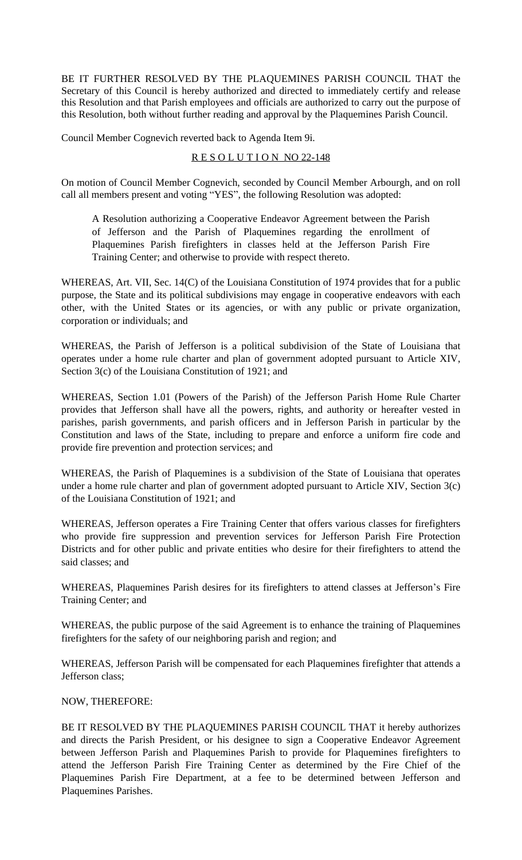BE IT FURTHER RESOLVED BY THE PLAQUEMINES PARISH COUNCIL THAT the Secretary of this Council is hereby authorized and directed to immediately certify and release this Resolution and that Parish employees and officials are authorized to carry out the purpose of this Resolution, both without further reading and approval by the Plaquemines Parish Council.

Council Member Cognevich reverted back to Agenda Item 9i.

# RESOLUTION NO 22-148

On motion of Council Member Cognevich, seconded by Council Member Arbourgh, and on roll call all members present and voting "YES", the following Resolution was adopted:

A Resolution authorizing a Cooperative Endeavor Agreement between the Parish of Jefferson and the Parish of Plaquemines regarding the enrollment of Plaquemines Parish firefighters in classes held at the Jefferson Parish Fire Training Center; and otherwise to provide with respect thereto.

WHEREAS, Art. VII, Sec. 14(C) of the Louisiana Constitution of 1974 provides that for a public purpose, the State and its political subdivisions may engage in cooperative endeavors with each other, with the United States or its agencies, or with any public or private organization, corporation or individuals; and

WHEREAS, the Parish of Jefferson is a political subdivision of the State of Louisiana that operates under a home rule charter and plan of government adopted pursuant to Article XIV, Section 3(c) of the Louisiana Constitution of 1921; and

WHEREAS, Section 1.01 (Powers of the Parish) of the Jefferson Parish Home Rule Charter provides that Jefferson shall have all the powers, rights, and authority or hereafter vested in parishes, parish governments, and parish officers and in Jefferson Parish in particular by the Constitution and laws of the State, including to prepare and enforce a uniform fire code and provide fire prevention and protection services; and

WHEREAS, the Parish of Plaquemines is a subdivision of the State of Louisiana that operates under a home rule charter and plan of government adopted pursuant to Article XIV, Section 3(c) of the Louisiana Constitution of 1921; and

WHEREAS, Jefferson operates a Fire Training Center that offers various classes for firefighters who provide fire suppression and prevention services for Jefferson Parish Fire Protection Districts and for other public and private entities who desire for their firefighters to attend the said classes; and

WHEREAS, Plaquemines Parish desires for its firefighters to attend classes at Jefferson's Fire Training Center; and

WHEREAS, the public purpose of the said Agreement is to enhance the training of Plaquemines firefighters for the safety of our neighboring parish and region; and

WHEREAS, Jefferson Parish will be compensated for each Plaquemines firefighter that attends a Jefferson class;

# NOW, THEREFORE:

BE IT RESOLVED BY THE PLAQUEMINES PARISH COUNCIL THAT it hereby authorizes and directs the Parish President, or his designee to sign a Cooperative Endeavor Agreement between Jefferson Parish and Plaquemines Parish to provide for Plaquemines firefighters to attend the Jefferson Parish Fire Training Center as determined by the Fire Chief of the Plaquemines Parish Fire Department, at a fee to be determined between Jefferson and Plaquemines Parishes.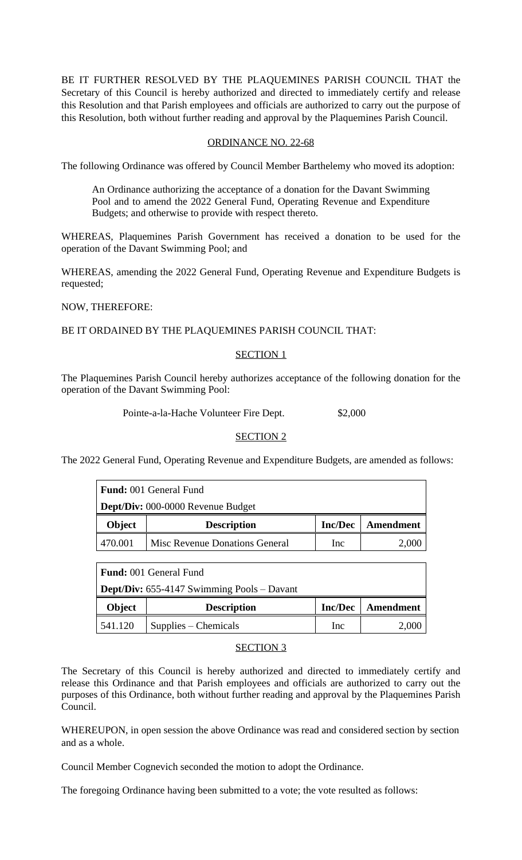BE IT FURTHER RESOLVED BY THE PLAQUEMINES PARISH COUNCIL THAT the Secretary of this Council is hereby authorized and directed to immediately certify and release this Resolution and that Parish employees and officials are authorized to carry out the purpose of this Resolution, both without further reading and approval by the Plaquemines Parish Council.

# ORDINANCE NO. 22-68

The following Ordinance was offered by Council Member Barthelemy who moved its adoption:

An Ordinance authorizing the acceptance of a donation for the Davant Swimming Pool and to amend the 2022 General Fund, Operating Revenue and Expenditure Budgets; and otherwise to provide with respect thereto.

WHEREAS, Plaquemines Parish Government has received a donation to be used for the operation of the Davant Swimming Pool; and

WHEREAS, amending the 2022 General Fund, Operating Revenue and Expenditure Budgets is requested;

NOW, THEREFORE:

BE IT ORDAINED BY THE PLAQUEMINES PARISH COUNCIL THAT:

# SECTION<sub>1</sub>

The Plaquemines Parish Council hereby authorizes acceptance of the following donation for the operation of the Davant Swimming Pool:

Pointe-a-la-Hache Volunteer Fire Dept. \$2,000

# SECTION 2

The 2022 General Fund, Operating Revenue and Expenditure Budgets, are amended as follows:

|               | <b>Fund:</b> 001 General Fund     |                |           |
|---------------|-----------------------------------|----------------|-----------|
|               | Dept/Div: 000-0000 Revenue Budget |                |           |
| <b>Object</b> | <b>Description</b>                | <b>Inc/Dec</b> | Amendment |
|               |                                   |                |           |

|         | <b>Fund:</b> 001 General Fund                     |                |           |
|---------|---------------------------------------------------|----------------|-----------|
|         | <b>Dept/Div:</b> 655-4147 Swimming Pools – Davant |                |           |
| Object  | <b>Description</b>                                | <b>Inc/Dec</b> | Amendment |
| 541.120 | $Supplies$ – Chemicals                            | Inc            | 2.000     |

# SECTION 3

The Secretary of this Council is hereby authorized and directed to immediately certify and release this Ordinance and that Parish employees and officials are authorized to carry out the purposes of this Ordinance, both without further reading and approval by the Plaquemines Parish Council.

WHEREUPON, in open session the above Ordinance was read and considered section by section and as a whole.

Council Member Cognevich seconded the motion to adopt the Ordinance.

The foregoing Ordinance having been submitted to a vote; the vote resulted as follows: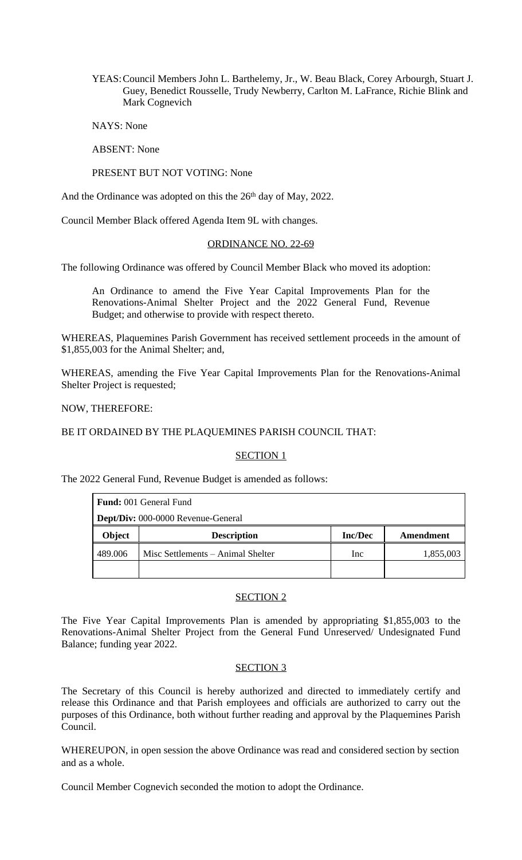YEAS:Council Members John L. Barthelemy, Jr., W. Beau Black, Corey Arbourgh, Stuart J. Guey, Benedict Rousselle, Trudy Newberry, Carlton M. LaFrance, Richie Blink and Mark Cognevich

NAYS: None

ABSENT: None

### PRESENT BUT NOT VOTING: None

And the Ordinance was adopted on this the 26<sup>th</sup> day of May, 2022.

Council Member Black offered Agenda Item 9L with changes.

### ORDINANCE NO. 22-69

The following Ordinance was offered by Council Member Black who moved its adoption:

An Ordinance to amend the Five Year Capital Improvements Plan for the Renovations-Animal Shelter Project and the 2022 General Fund, Revenue Budget; and otherwise to provide with respect thereto.

WHEREAS, Plaquemines Parish Government has received settlement proceeds in the amount of \$1,855,003 for the Animal Shelter; and,

WHEREAS, amending the Five Year Capital Improvements Plan for the Renovations-Animal Shelter Project is requested;

NOW, THEREFORE:

BE IT ORDAINED BY THE PLAQUEMINES PARISH COUNCIL THAT:

#### SECTION<sub>1</sub>

The 2022 General Fund, Revenue Budget is amended as follows:

|         | <b>Fund:</b> 001 General Fund      |                |           |
|---------|------------------------------------|----------------|-----------|
|         | Dept/Div: 000-0000 Revenue-General |                |           |
| Object  | <b>Description</b>                 | <b>Inc/Dec</b> | Amendment |
| 489.006 | Misc Settlements - Animal Shelter  | <sub>Inc</sub> | 1,855,003 |
|         |                                    |                |           |

### SECTION 2

The Five Year Capital Improvements Plan is amended by appropriating \$1,855,003 to the Renovations-Animal Shelter Project from the General Fund Unreserved/ Undesignated Fund Balance; funding year 2022.

#### SECTION 3

The Secretary of this Council is hereby authorized and directed to immediately certify and release this Ordinance and that Parish employees and officials are authorized to carry out the purposes of this Ordinance, both without further reading and approval by the Plaquemines Parish Council.

WHEREUPON, in open session the above Ordinance was read and considered section by section and as a whole.

Council Member Cognevich seconded the motion to adopt the Ordinance.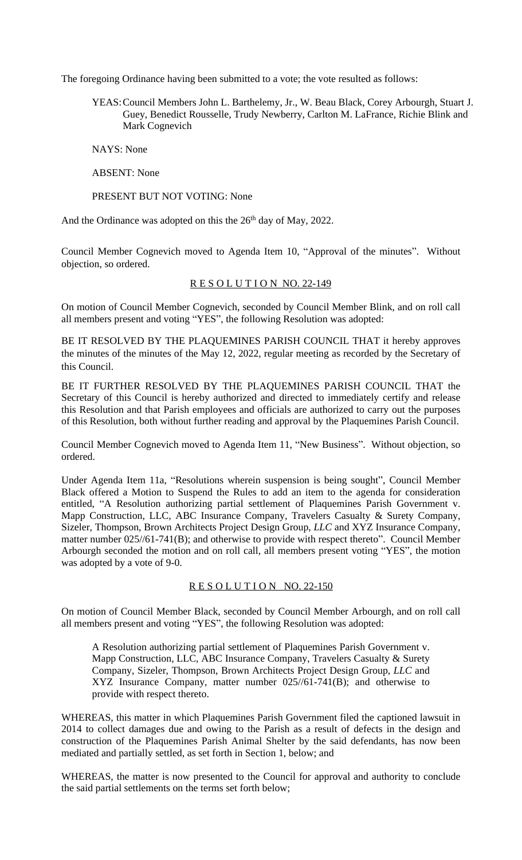The foregoing Ordinance having been submitted to a vote; the vote resulted as follows:

YEAS:Council Members John L. Barthelemy, Jr., W. Beau Black, Corey Arbourgh, Stuart J. Guey, Benedict Rousselle, Trudy Newberry, Carlton M. LaFrance, Richie Blink and Mark Cognevich

NAYS: None

ABSENT: None

PRESENT BUT NOT VOTING: None

And the Ordinance was adopted on this the 26<sup>th</sup> day of May, 2022.

Council Member Cognevich moved to Agenda Item 10, "Approval of the minutes". Without objection, so ordered.

## RESOLUTION NO. 22-149

On motion of Council Member Cognevich, seconded by Council Member Blink, and on roll call all members present and voting "YES", the following Resolution was adopted:

BE IT RESOLVED BY THE PLAQUEMINES PARISH COUNCIL THAT it hereby approves the minutes of the minutes of the May 12, 2022, regular meeting as recorded by the Secretary of this Council.

BE IT FURTHER RESOLVED BY THE PLAQUEMINES PARISH COUNCIL THAT the Secretary of this Council is hereby authorized and directed to immediately certify and release this Resolution and that Parish employees and officials are authorized to carry out the purposes of this Resolution, both without further reading and approval by the Plaquemines Parish Council.

Council Member Cognevich moved to Agenda Item 11, "New Business". Without objection, so ordered.

Under Agenda Item 11a, "Resolutions wherein suspension is being sought", Council Member Black offered a Motion to Suspend the Rules to add an item to the agenda for consideration entitled, "A Resolution authorizing partial settlement of Plaquemines Parish Government v. Mapp Construction, LLC, ABC Insurance Company, Travelers Casualty & Surety Company, Sizeler, Thompson, Brown Architects Project Design Group, *LLC* and XYZ Insurance Company, matter number 025//61-741(B); and otherwise to provide with respect thereto". Council Member Arbourgh seconded the motion and on roll call, all members present voting "YES", the motion was adopted by a vote of 9-0.

#### R E S O L U T I O N NO. 22-150

On motion of Council Member Black, seconded by Council Member Arbourgh, and on roll call all members present and voting "YES", the following Resolution was adopted:

A Resolution authorizing partial settlement of Plaquemines Parish Government v. Mapp Construction, LLC, ABC Insurance Company, Travelers Casualty & Surety Company, Sizeler, Thompson, Brown Architects Project Design Group, *LLC* and XYZ Insurance Company, matter number 025//61-741(B); and otherwise to provide with respect thereto.

WHEREAS, this matter in which Plaquemines Parish Government filed the captioned lawsuit in 2014 to collect damages due and owing to the Parish as a result of defects in the design and construction of the Plaquemines Parish Animal Shelter by the said defendants, has now been mediated and partially settled, as set forth in Section 1, below; and

WHEREAS, the matter is now presented to the Council for approval and authority to conclude the said partial settlements on the terms set forth below;